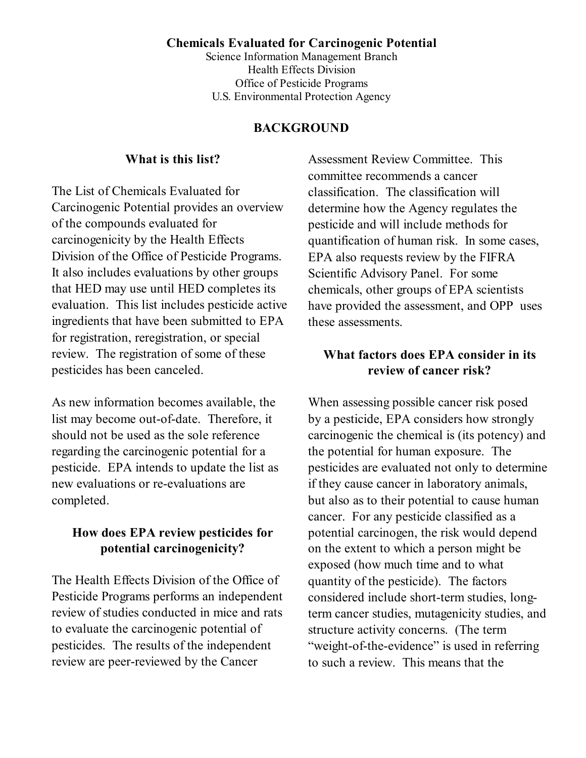#### **Chemicals Evaluated for Carcinogenic Potential**

Science Information Management Branch Health Effects Division Office of Pesticide Programs U.S. Environmental Protection Agency

#### **BACKGROUND**

#### **What is this list?**

The List of Chemicals Evaluated for Carcinogenic Potential provides an overview of the compounds evaluated for carcinogenicity by the Health Effects Division of the Office of Pesticide Programs. It also includes evaluations by other groups that HED may use until HED completes its evaluation. This list includes pesticide active ingredients that have been submitted to EPA for registration, reregistration, or special review. The registration of some of these pesticides has been canceled.

As new information becomes available, the list may become out-of-date. Therefore, it should not be used as the sole reference regarding the carcinogenic potential for a pesticide. EPA intends to update the list as new evaluations or re-evaluations are completed.

## **How does EPA review pesticides for potential carcinogenicity?**

The Health Effects Division of the Office of Pesticide Programs performs an independent review of studies conducted in mice and rats to evaluate the carcinogenic potential of pesticides. The results of the independent review are peer-reviewed by the Cancer

Assessment Review Committee. This committee recommends a cancer classification. The classification will determine how the Agency regulates the pesticide and will include methods for quantification of human risk. In some cases, EPA also requests review by the FIFRA Scientific Advisory Panel. For some chemicals, other groups of EPA scientists have provided the assessment, and OPP uses these assessments.

## **What factors does EPA consider in its review of cancer risk?**

When assessing possible cancer risk posed by a pesticide, EPA considers how strongly carcinogenic the chemical is (its potency) and the potential for human exposure. The pesticides are evaluated not only to determine if they cause cancer in laboratory animals, but also as to their potential to cause human cancer. For any pesticide classified as a potential carcinogen, the risk would depend on the extent to which a person might be exposed (how much time and to what quantity of the pesticide). The factors considered include short-term studies, longterm cancer studies, mutagenicity studies, and structure activity concerns. (The term "weight-of-the-evidence" is used in referring to such a review. This means that the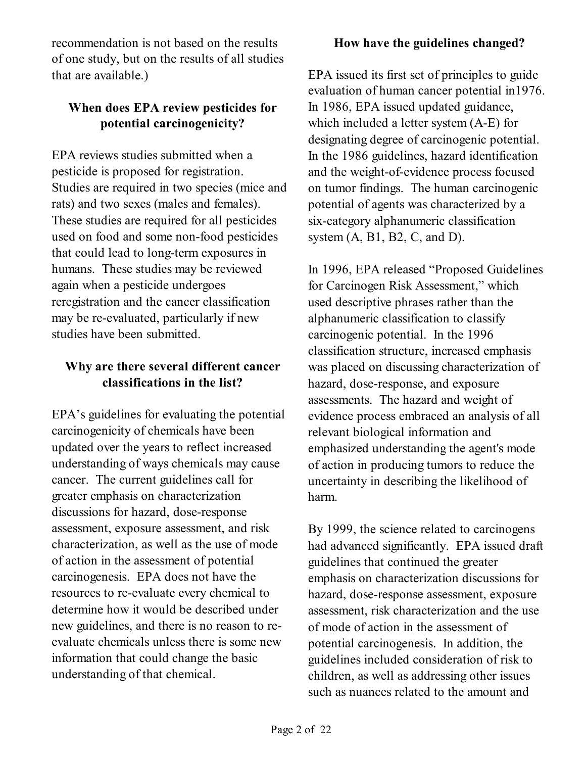recommendation is not based on the results of one study, but on the results of all studies that are available.)

# **When does EPA review pesticides for potential carcinogenicity?**

EPA reviews studies submitted when a pesticide is proposed for registration. Studies are required in two species (mice and rats) and two sexes (males and females). These studies are required for all pesticides used on food and some non-food pesticides that could lead to long-term exposures in humans. These studies may be reviewed again when a pesticide undergoes reregistration and the cancer classification may be re-evaluated, particularly if new studies have been submitted.

# **Why are there several different cancer classifications in the list?**

EPA's guidelines for evaluating the potential carcinogenicity of chemicals have been updated over the years to reflect increased understanding of ways chemicals may cause cancer. The current guidelines call for greater emphasis on characterization discussions for hazard, dose-response assessment, exposure assessment, and risk characterization, as well as the use of mode of action in the assessment of potential carcinogenesis. EPA does not have the resources to re-evaluate every chemical to determine how it would be described under new guidelines, and there is no reason to reevaluate chemicals unless there is some new information that could change the basic understanding of that chemical.

## **How have the guidelines changed?**

EPA issued its first set of principles to guide evaluation of human cancer potential in1976. In 1986, EPA issued updated guidance, which included a letter system (A-E) for designating degree of carcinogenic potential. In the 1986 guidelines, hazard identification and the weight-of-evidence process focused on tumor findings. The human carcinogenic potential of agents was characterized by a six-category alphanumeric classification system  $(A, B1, B2, C, and D)$ .

In 1996, EPA released "Proposed Guidelines for Carcinogen Risk Assessment," which used descriptive phrases rather than the alphanumeric classification to classify carcinogenic potential. In the 1996 classification structure, increased emphasis was placed on discussing characterization of hazard, dose-response, and exposure assessments. The hazard and weight of evidence process embraced an analysis of all relevant biological information and emphasized understanding the agent's mode of action in producing tumors to reduce the uncertainty in describing the likelihood of harm.

By 1999, the science related to carcinogens had advanced significantly. EPA issued draft guidelines that continued the greater emphasis on characterization discussions for hazard, dose-response assessment, exposure assessment, risk characterization and the use of mode of action in the assessment of potential carcinogenesis. In addition, the guidelines included consideration of risk to children, as well as addressing other issues such as nuances related to the amount and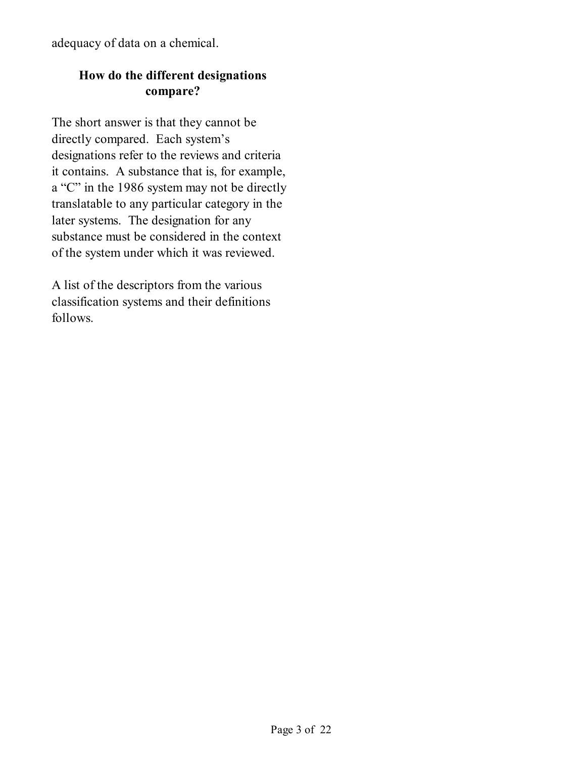adequacy of data on a chemical.

# **How do the different designations compare?**

The short answer is that they cannot be directly compared. Each system's designations refer to the reviews and criteria it contains. A substance that is, for example, a "C" in the 1986 system may not be directly translatable to any particular category in the later systems. The designation for any substance must be considered in the context of the system under which it was reviewed.

A list of the descriptors from the various classification systems and their definitions follows.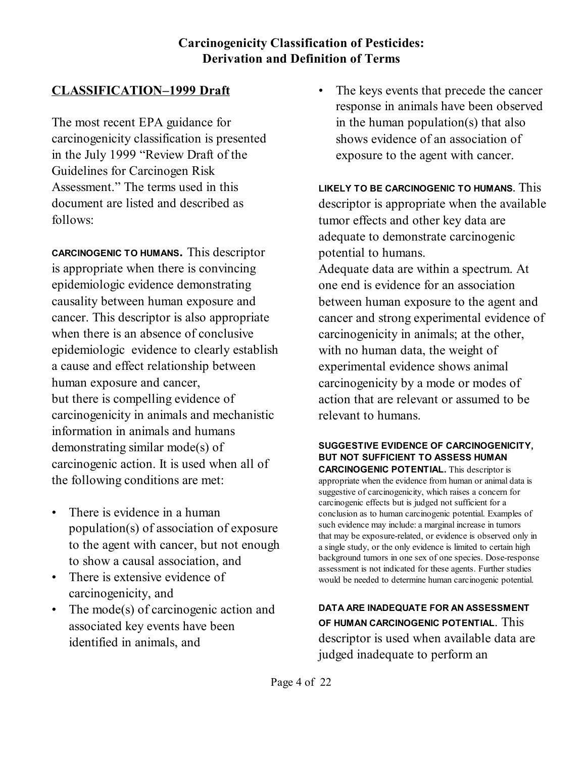## **Carcinogenicity Classification of Pesticides: Derivation and Definition of Terms**

# **CLASSIFICATION–1999 Draft**

The most recent EPA guidance for carcinogenicity classification is presented in the July 1999 "Review Draft of the Guidelines for Carcinogen Risk Assessment." The terms used in this document are listed and described as follows:

**CARCINOGENIC TO HUMANS.** This descriptor is appropriate when there is convincing epidemiologic evidence demonstrating causality between human exposure and cancer. This descriptor is also appropriate when there is an absence of conclusive epidemiologic evidence to clearly establish a cause and effect relationship between human exposure and cancer, but there is compelling evidence of carcinogenicity in animals and mechanistic information in animals and humans demonstrating similar mode(s) of carcinogenic action. It is used when all of the following conditions are met:

- There is evidence in a human population(s) of association of exposure to the agent with cancer, but not enough to show a causal association, and
- There is extensive evidence of carcinogenicity, and
- The mode(s) of carcinogenic action and associated key events have been identified in animals, and

The keys events that precede the cancer response in animals have been observed in the human population(s) that also shows evidence of an association of exposure to the agent with cancer.

**LIKELY TO BE CARCINOGENIC TO HUMANS.** This descriptor is appropriate when the available tumor effects and other key data are adequate to demonstrate carcinogenic potential to humans. Adequate data are within a spectrum. At one end is evidence for an association between human exposure to the agent and cancer and strong experimental evidence of carcinogenicity in animals; at the other, with no human data, the weight of experimental evidence shows animal carcinogenicity by a mode or modes of action that are relevant or assumed to be relevant to humans.

#### **SUGGESTIVE EVIDENCE OF CARCINOGENICITY, BUT NOT SUFFICIENT TO ASSESS HUMAN CARCINOGENIC POTENTIAL.** This descriptor is

appropriate when the evidence from human or animal data is suggestive of carcinogenicity, which raises a concern for carcinogenic effects but is judged not sufficient for a conclusion as to human carcinogenic potential. Examples of such evidence may include: a marginal increase in tumors that may be exposure-related, or evidence is observed only in a single study, or the only evidence is limited to certain high background tumors in one sex of one species. Dose-response assessment is not indicated for these agents. Further studies would be needed to determine human carcinogenic potential.

**DATA ARE INADEQUATE FOR AN ASSESSMENT OF HUMAN CARCINOGENIC POTENTIAL**. This descriptor is used when available data are judged inadequate to perform an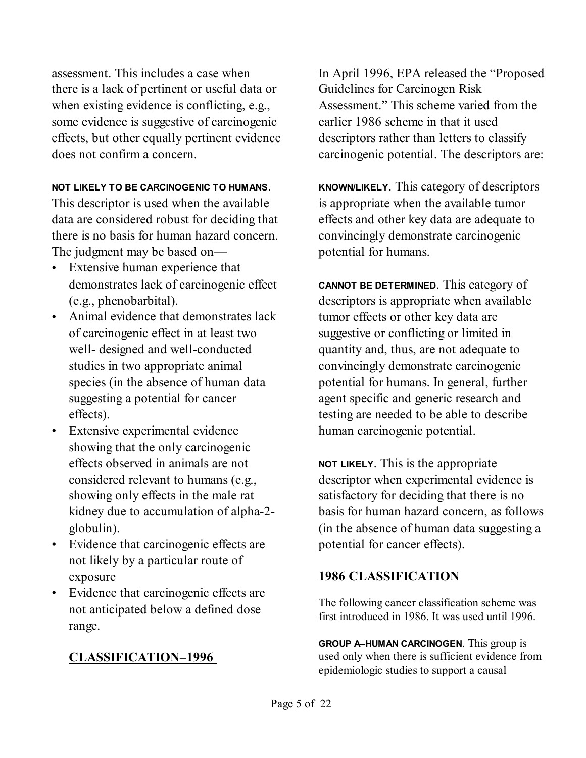assessment. This includes a case when there is a lack of pertinent or useful data or when existing evidence is conflicting, e.g., some evidence is suggestive of carcinogenic effects, but other equally pertinent evidence does not confirm a concern.

#### **NOT LIKELY TO BE CARCINOGENIC TO HUMANS**.

This descriptor is used when the available data are considered robust for deciding that there is no basis for human hazard concern. The judgment may be based on—

- Extensive human experience that demonstrates lack of carcinogenic effect (e.g., phenobarbital).
- Animal evidence that demonstrates lack of carcinogenic effect in at least two well- designed and well-conducted studies in two appropriate animal species (in the absence of human data suggesting a potential for cancer effects).
- Extensive experimental evidence showing that the only carcinogenic effects observed in animals are not considered relevant to humans (e.g., showing only effects in the male rat kidney due to accumulation of alpha-2 globulin).
- Evidence that carcinogenic effects are not likely by a particular route of exposure
- Evidence that carcinogenic effects are not anticipated below a defined dose range.

## **CLASSIFICATION–1996**

In April 1996, EPA released the "Proposed Guidelines for Carcinogen Risk Assessment." This scheme varied from the earlier 1986 scheme in that it used descriptors rather than letters to classify carcinogenic potential. The descriptors are:

**KNOWN/LIKELY**. This category of descriptors is appropriate when the available tumor effects and other key data are adequate to convincingly demonstrate carcinogenic potential for humans.

**CANNOT BE DETERMINED**. This category of descriptors is appropriate when available tumor effects or other key data are suggestive or conflicting or limited in quantity and, thus, are not adequate to convincingly demonstrate carcinogenic potential for humans. In general, further agent specific and generic research and testing are needed to be able to describe human carcinogenic potential.

**NOT LIKELY**. This is the appropriate descriptor when experimental evidence is satisfactory for deciding that there is no basis for human hazard concern, as follows (in the absence of human data suggesting a potential for cancer effects).

## **1986 CLASSIFICATION**

The following cancer classification scheme was first introduced in 1986. It was used until 1996.

**GROUP A–HUMAN CARCINOGEN**. This group is used only when there is sufficient evidence from epidemiologic studies to support a causal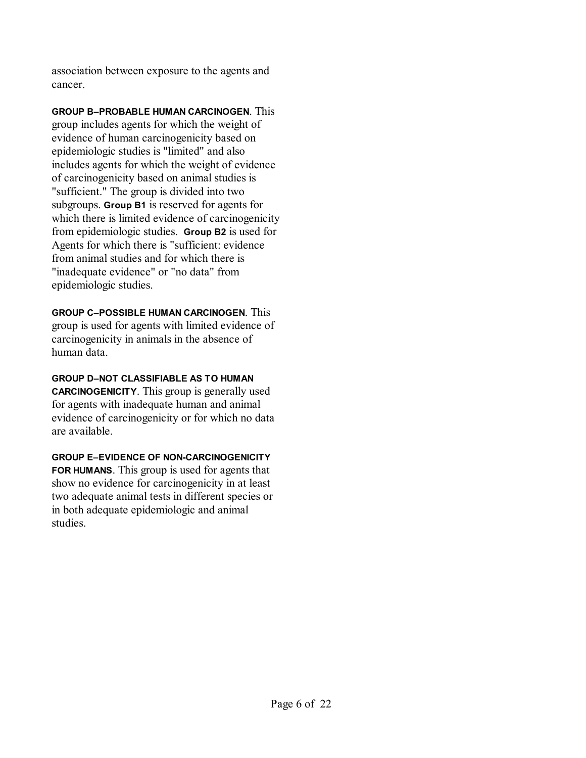association between exposure to the agents and cancer.

**GROUP B–PROBABLE HUMAN CARCINOGEN**. This group includes agents for which the weight of evidence of human carcinogenicity based on epidemiologic studies is "limited" and also includes agents for which the weight of evidence of carcinogenicity based on animal studies is "sufficient." The group is divided into two subgroups. **Group B1** is reserved for agents for which there is limited evidence of carcinogenicity from epidemiologic studies. **Group B2** is used for Agents for which there is "sufficient: evidence from animal studies and for which there is "inadequate evidence" or "no data" from epidemiologic studies.

**GROUP C–POSSIBLE HUMAN CARCINOGEN**. This group is used for agents with limited evidence of carcinogenicity in animals in the absence of human data.

**GROUP D–NOT CLASSIFIABLE AS TO HUMAN CARCINOGENICITY**. This group is generally used for agents with inadequate human and animal evidence of carcinogenicity or for which no data are available.

**GROUP E–EVIDENCE OF NON-CARCINOGENICITY FOR HUMANS**. This group is used for agents that show no evidence for carcinogenicity in at least two adequate animal tests in different species or in both adequate epidemiologic and animal studies.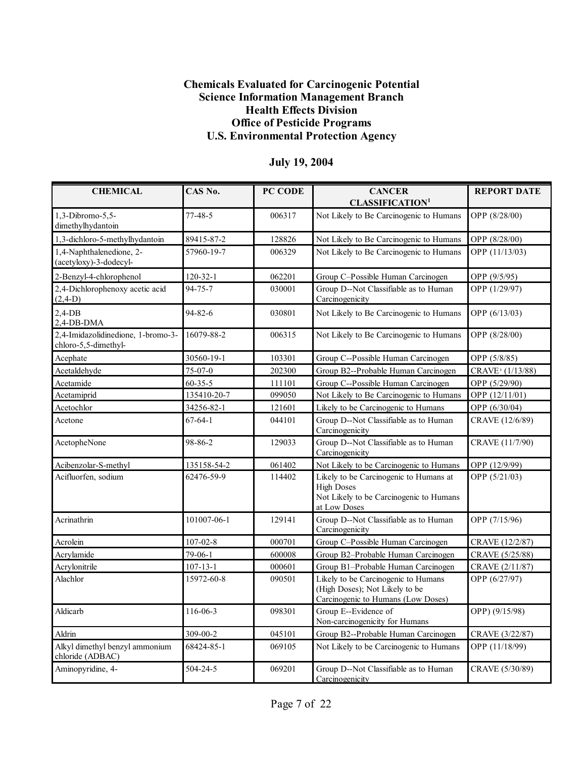#### **Chemicals Evaluated for Carcinogenic Potential Science Information Management Branch Health Effects Division Office of Pesticide Programs U.S. Environmental Protection Agency**

| <b>CHEMICAL</b>                                            | CAS No.        | PC CODE | <b>CANCER</b>                                                                                                          | <b>REPORT DATE</b>           |
|------------------------------------------------------------|----------------|---------|------------------------------------------------------------------------------------------------------------------------|------------------------------|
|                                                            |                |         | <b>CLASSIFICATION<sup>1</sup></b>                                                                                      |                              |
| 1,3-Dibromo-5,5-<br>dimethylhydantoin                      | $77-48-5$      | 006317  | Not Likely to Be Carcinogenic to Humans                                                                                | OPP (8/28/00)                |
| 1,3-dichloro-5-methylhydantoin                             | 89415-87-2     | 128826  | Not Likely to Be Carcinogenic to Humans                                                                                | OPP (8/28/00)                |
| 1,4-Naphthalenedione, 2-<br>(acetyloxy)-3-dodecyl-         | 57960-19-7     | 006329  | Not Likely to Be Carcinogenic to Humans                                                                                | OPP (11/13/03)               |
| 2-Benzyl-4-chlorophenol                                    | $120 - 32 - 1$ | 062201  | Group C-Possible Human Carcinogen                                                                                      | OPP (9/5/95)                 |
| 2,4-Dichlorophenoxy acetic acid<br>$(2,4-D)$               | 94-75-7        | 030001  | Group D--Not Classifiable as to Human<br>Carcinogenicity                                                               | OPP (1/29/97)                |
| $2,4$ -DB<br>2,4-DB-DMA                                    | $94 - 82 - 6$  | 030801  | Not Likely to Be Carcinogenic to Humans                                                                                | OPP (6/13/03)                |
| 2,4-Imidazolidinedione, 1-bromo-3-<br>chloro-5,5-dimethyl- | 16079-88-2     | 006315  | Not Likely to Be Carcinogenic to Humans                                                                                | OPP (8/28/00)                |
| Acephate                                                   | 30560-19-1     | 103301  | Group C--Possible Human Carcinogen                                                                                     | OPP (5/8/85)                 |
| Acetaldehyde                                               | 75-07-0        | 202300  | Group B2--Probable Human Carcinogen                                                                                    | CRAVE <sup>3</sup> (1/13/88) |
| Acetamide                                                  | $60 - 35 - 5$  | 111101  | Group C--Possible Human Carcinogen                                                                                     | OPP (5/29/90)                |
| Acetamiprid                                                | 135410-20-7    | 099050  | Not Likely to Be Carcinogenic to Humans                                                                                | OPP (12/11/01)               |
| Acetochlor                                                 | 34256-82-1     | 121601  | Likely to be Carcinogenic to Humans                                                                                    | OPP (6/30/04)                |
| Acetone                                                    | $67 - 64 - 1$  | 044101  | Group D--Not Classifiable as to Human<br>Carcinogenicity                                                               | CRAVE (12/6/89)              |
| AcetopheNone                                               | 98-86-2        | 129033  | Group D--Not Classifiable as to Human<br>Carcinogenicity                                                               | CRAVE (11/7/90)              |
| Acibenzolar-S-methyl                                       | 135158-54-2    | 061402  | Not Likely to be Carcinogenic to Humans                                                                                | OPP (12/9/99)                |
| Acifluorfen, sodium                                        | 62476-59-9     | 114402  | Likely to be Carcinogenic to Humans at<br><b>High Doses</b><br>Not Likely to be Carcinogenic to Humans<br>at Low Doses | OPP (5/21/03)                |
| Acrinathrin                                                | 101007-06-1    | 129141  | Group D--Not Classifiable as to Human<br>Carcinogenicity                                                               | OPP (7/15/96)                |
| Acrolein                                                   | $107 - 02 - 8$ | 000701  | Group C-Possible Human Carcinogen                                                                                      | CRAVE (12/2/87)              |
| Acrylamide                                                 | 79-06-1        | 600008  | Group B2-Probable Human Carcinogen                                                                                     | CRAVE (5/25/88)              |
| Acrylonitrile                                              | $107 - 13 - 1$ | 000601  | Group B1-Probable Human Carcinogen                                                                                     | CRAVE (2/11/87)              |
| Alachlor                                                   | 15972-60-8     | 090501  | Likely to be Carcinogenic to Humans<br>(High Doses); Not Likely to be<br>Carcinogenic to Humans (Low Doses)            | OPP (6/27/97)                |
| Aldicarb                                                   | 116-06-3       | 098301  | Group E--Evidence of<br>Non-carcinogenicity for Humans                                                                 | OPP) (9/15/98)               |
| Aldrin                                                     | 309-00-2       | 045101  | Group B2--Probable Human Carcinogen                                                                                    | CRAVE (3/22/87)              |
| Alkyl dimethyl benzyl ammonium<br>chloride (ADBAC)         | 68424-85-1     | 069105  | Not Likely to be Carcinogenic to Humans                                                                                | OPP (11/18/99)               |
| Aminopyridine, 4-                                          | 504-24-5       | 069201  | Group D--Not Classifiable as to Human<br>Carcinogenicity                                                               | CRAVE (5/30/89)              |

### **July 19, 2004**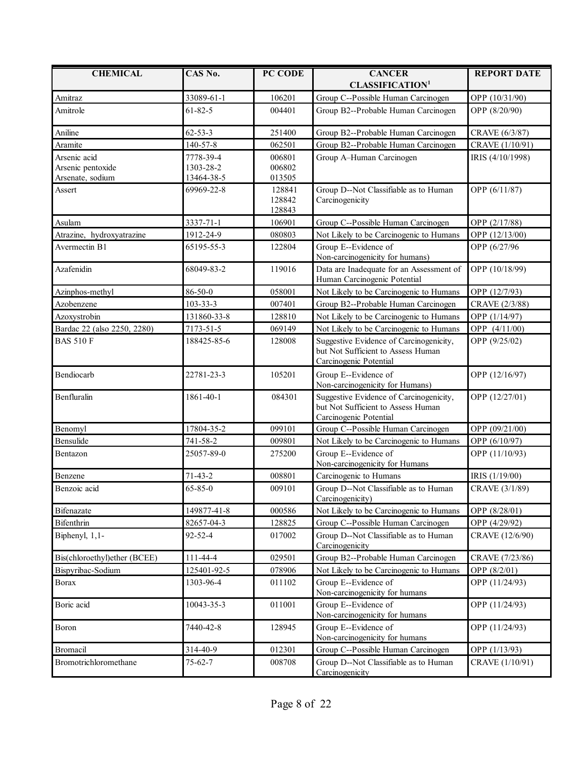| <b>CHEMICAL</b>              | CAS No.        | PC CODE                    | <b>CANCER</b>                                                                                           | <b>REPORT DATE</b> |
|------------------------------|----------------|----------------------------|---------------------------------------------------------------------------------------------------------|--------------------|
|                              |                |                            | <b>CLASSIFICATION<sup>1</sup></b>                                                                       |                    |
| Amitraz                      | 33089-61-1     | 106201                     | Group C--Possible Human Carcinogen                                                                      | OPP (10/31/90)     |
| Amitrole                     | $61 - 82 - 5$  | 004401                     | Group B2--Probable Human Carcinogen                                                                     | OPP (8/20/90)      |
| Aniline                      | $62 - 53 - 3$  | 251400                     | Group B2--Probable Human Carcinogen                                                                     | CRAVE (6/3/87)     |
| Aramite                      | 140-57-8       | 062501                     | Group B2--Probable Human Carcinogen                                                                     | CRAVE (1/10/91)    |
| Arsenic acid                 | 7778-39-4      | 006801                     | Group A-Human Carcinogen                                                                                | IRIS (4/10/1998)   |
| Arsenic pentoxide            | 1303-28-2      | 006802                     |                                                                                                         |                    |
| Arsenate, sodium             | 13464-38-5     | 013505                     |                                                                                                         |                    |
| Assert                       | 69969-22-8     | 128841<br>128842<br>128843 | Group D--Not Classifiable as to Human<br>Carcinogenicity                                                | OPP (6/11/87)      |
| Asulam                       | 3337-71-1      | 106901                     | Group C--Possible Human Carcinogen                                                                      | OPP (2/17/88)      |
| Atrazine, hydroxyatrazine    | 1912-24-9      | 080803                     | Not Likely to be Carcinogenic to Humans                                                                 | OPP (12/13/00)     |
| Avermectin B1                | 65195-55-3     | 122804                     | Group E--Evidence of<br>Non-carcinogenicity for humans)                                                 | OPP (6/27/96       |
| Azafenidin                   | 68049-83-2     | 119016                     | Data are Inadequate for an Assessment of<br>Human Carcinogenic Potential                                | OPP (10/18/99)     |
| Azinphos-methyl              | $86 - 50 - 0$  | 058001                     | Not Likely to be Carcinogenic to Humans                                                                 | OPP (12/7/93)      |
| Azobenzene                   | $103 - 33 - 3$ | 007401                     | Group B2--Probable Human Carcinogen                                                                     | CRAVE (2/3/88)     |
| Azoxystrobin                 | 131860-33-8    | 128810                     | Not Likely to be Carcinogenic to Humans                                                                 | OPP (1/14/97)      |
| Bardac 22 (also 2250, 2280)  | 7173-51-5      | 069149                     | Not Likely to be Carcinogenic to Humans                                                                 | OPP (4/11/00)      |
| <b>BAS 510 F</b>             | 188425-85-6    | 128008                     | Suggestive Evidence of Carcinogenicity,<br>but Not Sufficient to Assess Human<br>Carcinogenic Potential | OPP (9/25/02)      |
| Bendiocarb                   | 22781-23-3     | 105201                     | Group E--Evidence of<br>Non-carcinogenicity for Humans)                                                 | OPP (12/16/97)     |
| Benfluralin                  | 1861-40-1      | 084301                     | Suggestive Evidence of Carcinogenicity,<br>but Not Sufficient to Assess Human<br>Carcinogenic Potential | OPP (12/27/01)     |
| Benomyl                      | 17804-35-2     | 099101                     | Group C--Possible Human Carcinogen                                                                      | OPP (09/21/00)     |
| Bensulide                    | 741-58-2       | 009801                     | Not Likely to be Carcinogenic to Humans                                                                 | OPP (6/10/97)      |
| Bentazon                     | 25057-89-0     | 275200                     | Group E--Evidence of<br>Non-carcinogenicity for Humans                                                  | OPP (11/10/93)     |
| Benzene                      | $71-43-2$      | 008801                     | Carcinogenic to Humans                                                                                  | IRIS (1/19/00)     |
| Benzoic acid                 | $65 - 85 - 0$  | 009101                     | Group D--Not Classifiable as to Human<br>Carcinogenicity)                                               | CRAVE (3/1/89)     |
| <b>Bifenazate</b>            | 149877-41-8    | 000586                     | Not Likely to be Carcinogenic to Humans                                                                 | OPP (8/28/01)      |
| Bifenthrin                   | 82657-04-3     | 128825                     | Group C--Possible Human Carcinogen                                                                      | OPP (4/29/92)      |
| Biphenyl, 1,1-               | $92 - 52 - 4$  | 017002                     | Group D--Not Classifiable as to Human<br>Carcinogenicity                                                | CRAVE (12/6/90)    |
| Bis(chloroethyl)ether (BCEE) | 111-44-4       | 029501                     | Group B2--Probable Human Carcinogen                                                                     | CRAVE (7/23/86)    |
| Bispyribac-Sodium            | 125401-92-5    | 078906                     | Not Likely to be Carcinogenic to Humans                                                                 | OPP (8/2/01)       |
| <b>Borax</b>                 | 1303-96-4      | 011102                     | Group E--Evidence of<br>Non-carcinogenicity for humans                                                  | OPP (11/24/93)     |
| Boric acid                   | 10043-35-3     | 011001                     | Group E--Evidence of<br>Non-carcinogenicity for humans                                                  | OPP (11/24/93)     |
| Boron                        | 7440-42-8      | 128945                     | Group E--Evidence of<br>Non-carcinogenicity for humans                                                  | OPP (11/24/93)     |
| Bromacil                     | 314-40-9       | 012301                     | Group C--Possible Human Carcinogen                                                                      | OPP (1/13/93)      |
| Bromotrichloromethane        | $75 - 62 - 7$  | 008708                     | Group D--Not Classifiable as to Human<br>Carcinogenicity                                                | CRAVE (1/10/91)    |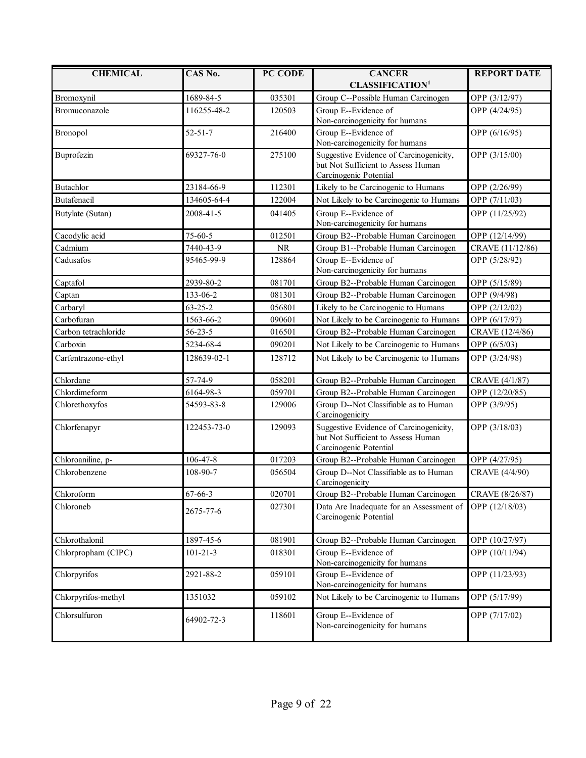| <b>CHEMICAL</b>      | CAS No.        | PC CODE | <b>CANCER</b>                                                             | <b>REPORT DATE</b> |
|----------------------|----------------|---------|---------------------------------------------------------------------------|--------------------|
|                      |                |         | <b>CLASSIFICATION<sup>1</sup></b>                                         |                    |
| Bromoxynil           | 1689-84-5      | 035301  | Group C--Possible Human Carcinogen                                        | OPP (3/12/97)      |
| Bromuconazole        | 116255-48-2    | 120503  | Group E--Evidence of                                                      | OPP (4/24/95)      |
|                      |                |         | Non-carcinogenicity for humans                                            |                    |
| Bronopol             | $52 - 51 - 7$  | 216400  | Group E--Evidence of                                                      | OPP (6/16/95)      |
|                      | 69327-76-0     | 275100  | Non-carcinogenicity for humans<br>Suggestive Evidence of Carcinogenicity, |                    |
| Buprofezin           |                |         | but Not Sufficient to Assess Human                                        | OPP (3/15/00)      |
|                      |                |         | Carcinogenic Potential                                                    |                    |
| Butachlor            | 23184-66-9     | 112301  | Likely to be Carcinogenic to Humans                                       | OPP (2/26/99)      |
| Butafenacil          | 134605-64-4    | 122004  | Not Likely to be Carcinogenic to Humans                                   | OPP (7/11/03)      |
| Butylate (Sutan)     | 2008-41-5      | 041405  | Group E--Evidence of                                                      | OPP (11/25/92)     |
|                      |                |         | Non-carcinogenicity for humans                                            |                    |
| Cacodylic acid       | $75 - 60 - 5$  | 012501  | Group B2--Probable Human Carcinogen                                       | OPP (12/14/99)     |
| Cadmium              | 7440-43-9      | NR      | Group B1--Probable Human Carcinogen                                       | CRAVE (11/12/86)   |
| Cadusafos            | 95465-99-9     | 128864  | Group E--Evidence of                                                      | OPP (5/28/92)      |
|                      |                |         | Non-carcinogenicity for humans                                            |                    |
| Captafol             | 2939-80-2      | 081701  | Group B2--Probable Human Carcinogen                                       | OPP (5/15/89)      |
| Captan               | 133-06-2       | 081301  | Group B2--Probable Human Carcinogen                                       | OPP (9/4/98)       |
| Carbaryl             | $63 - 25 - 2$  | 056801  | Likely to be Carcinogenic to Humans                                       | OPP (2/12/02)      |
| Carbofuran           | 1563-66-2      | 090601  | Not Likely to be Carcinogenic to Humans                                   | OPP (6/17/97)      |
| Carbon tetrachloride | $56 - 23 - 5$  | 016501  | Group B2--Probable Human Carcinogen                                       | CRAVE (12/4/86)    |
| Carboxin             | 5234-68-4      | 090201  | Not Likely to be Carcinogenic to Humans                                   | OPP (6/5/03)       |
| Carfentrazone-ethyl  | 128639-02-1    | 128712  | Not Likely to be Carcinogenic to Humans                                   | OPP (3/24/98)      |
| Chlordane            | 57-74-9        | 058201  | Group B2--Probable Human Carcinogen                                       | CRAVE (4/1/87)     |
| Chlordimeform        | 6164-98-3      | 059701  | Group B2--Probable Human Carcinogen                                       | OPP (12/20/85)     |
| Chlorethoxyfos       | 54593-83-8     | 129006  | Group D--Not Classifiable as to Human<br>Carcinogenicity                  | OPP (3/9/95)       |
| Chlorfenapyr         | 122453-73-0    | 129093  | Suggestive Evidence of Carcinogenicity,                                   | OPP (3/18/03)      |
|                      |                |         | but Not Sufficient to Assess Human                                        |                    |
|                      |                |         | Carcinogenic Potential                                                    |                    |
| Chloroaniline, p-    | 106-47-8       | 017203  | Group B2--Probable Human Carcinogen                                       | OPP (4/27/95)      |
| Chlorobenzene        | 108-90-7       | 056504  | Group D--Not Classifiable as to Human<br>Carcinogenicity                  | CRAVE (4/4/90)     |
| Chloroform           | $67 - 66 - 3$  | 020701  | Group B2--Probable Human Carcinogen                                       | CRAVE (8/26/87)    |
| Chloroneb            | 2675-77-6      | 027301  | Data Are Inadequate for an Assessment of<br>Carcinogenic Potential        | OPP (12/18/03)     |
| Chlorothalonil       | 1897-45-6      | 081901  | Group B2--Probable Human Carcinogen                                       | OPP (10/27/97)     |
| Chlorpropham (CIPC)  | $101 - 21 - 3$ | 018301  | Group E--Evidence of<br>Non-carcinogenicity for humans                    | OPP (10/11/94)     |
| Chlorpyrifos         | 2921-88-2      | 059101  | Group E--Evidence of<br>Non-carcinogenicity for humans                    | OPP (11/23/93)     |
| Chlorpyrifos-methyl  | 1351032        | 059102  | Not Likely to be Carcinogenic to Humans                                   | OPP (5/17/99)      |
| Chlorsulfuron        | 64902-72-3     | 118601  | Group E--Evidence of<br>Non-carcinogenicity for humans                    | OPP (7/17/02)      |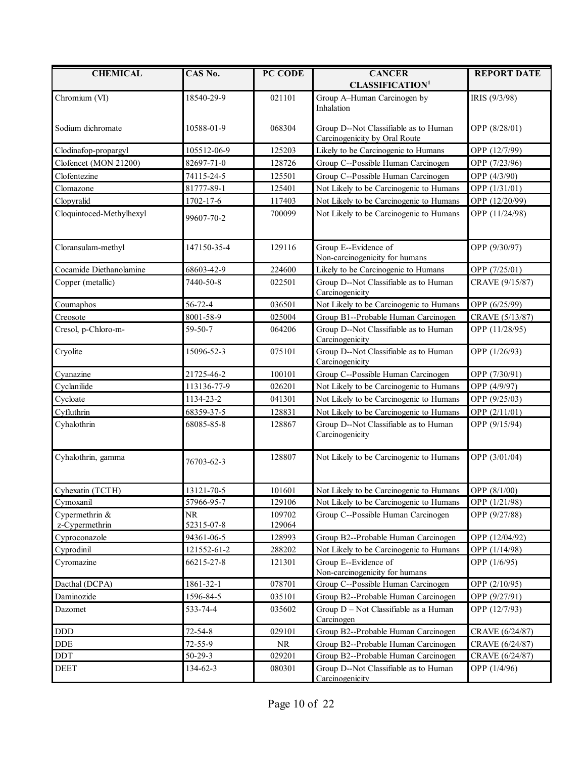| <b>CHEMICAL</b>                  | CAS No.                 | PC CODE          | <b>CANCER</b><br><b>CLASSIFICATION<sup>1</sup></b>                     | <b>REPORT DATE</b> |
|----------------------------------|-------------------------|------------------|------------------------------------------------------------------------|--------------------|
| Chromium (VI)                    | 18540-29-9              | 021101           | Group A-Human Carcinogen by<br>Inhalation                              | IRIS (9/3/98)      |
| Sodium dichromate                | 10588-01-9              | 068304           | Group D--Not Classifiable as to Human<br>Carcinogenicity by Oral Route | OPP (8/28/01)      |
| Clodinafop-propargyl             | 105512-06-9             | 125203           | Likely to be Carcinogenic to Humans                                    | OPP (12/7/99)      |
| Clofencet (MON 21200)            | 82697-71-0              | 128726           | Group C--Possible Human Carcinogen                                     | OPP (7/23/96)      |
| Clofentezine                     | 74115-24-5              | 125501           | Group C--Possible Human Carcinogen                                     | OPP (4/3/90)       |
| Clomazone                        | 81777-89-1              | 125401           | Not Likely to be Carcinogenic to Humans                                | OPP (1/31/01)      |
| Clopyralid                       | 1702-17-6               | 117403           | Not Likely to be Carcinogenic to Humans                                | OPP (12/20/99)     |
| Cloquintoced-Methylhexyl         | 99607-70-2              | 700099           | Not Likely to be Carcinogenic to Humans                                | OPP (11/24/98)     |
| Cloransulam-methyl               | 147150-35-4             | 129116           | Group E--Evidence of<br>Non-carcinogenicity for humans                 | OPP (9/30/97)      |
| Cocamide Diethanolamine          | 68603-42-9              | 224600           | Likely to be Carcinogenic to Humans                                    | OPP (7/25/01)      |
| Copper (metallic)                | 7440-50-8               | 022501           | Group D--Not Classifiable as to Human<br>Carcinogenicity               | CRAVE (9/15/87)    |
| Coumaphos                        | 56-72-4                 | 036501           | Not Likely to be Carcinogenic to Humans                                | OPP (6/25/99)      |
| Creosote                         | 8001-58-9               | 025004           | Group B1--Probable Human Carcinogen                                    | CRAVE (5/13/87)    |
| Cresol, p-Chloro-m-              | 59-50-7                 | 064206           | Group D--Not Classifiable as to Human<br>Carcinogenicity               | OPP (11/28/95)     |
| Cryolite                         | 15096-52-3              | 075101           | Group D--Not Classifiable as to Human<br>Carcinogenicity               | OPP (1/26/93)      |
| Cyanazine                        | 21725-46-2              | 100101           | Group C--Possible Human Carcinogen                                     | OPP (7/30/91)      |
| Cyclanilide                      | 113136-77-9             | 026201           | Not Likely to be Carcinogenic to Humans                                | OPP (4/9/97)       |
| Cycloate                         | 1134-23-2               | 041301           | Not Likely to be Carcinogenic to Humans                                | OPP (9/25/03)      |
| Cyfluthrin                       | 68359-37-5              | 128831           | Not Likely to be Carcinogenic to Humans                                | OPP (2/11/01)      |
| Cyhalothrin                      | 68085-85-8              | 128867           | Group D--Not Classifiable as to Human<br>Carcinogenicity               | OPP (9/15/94)      |
| Cyhalothrin, gamma               | 76703-62-3              | 128807           | Not Likely to be Carcinogenic to Humans                                | OPP (3/01/04)      |
| Cyhexatin (TCTH)                 | 13121-70-5              | 101601           | Not Likely to be Carcinogenic to Humans                                | OPP (8/1/00)       |
| Cymoxanil                        | 57966-95-7              | 129106           | Not Likely to be Carcinogenic to Humans                                | OPP (1/21/98)      |
| Cypermethrin &<br>z-Cypermethrin | <b>NR</b><br>52315-07-8 | 109702<br>129064 | Group C--Possible Human Carcinogen                                     | OPP (9/27/88)      |
| Cyproconazole                    | 94361-06-5              | 128993           | Group B2--Probable Human Carcinogen                                    | OPP (12/04/92)     |
| Cyprodinil                       | 121552-61-2             | 288202           | Not Likely to be Carcinogenic to Humans                                | OPP (1/14/98)      |
| Cyromazine                       | 66215-27-8              | 121301           | Group E--Evidence of<br>Non-carcinogenicity for humans                 | OPP (1/6/95)       |
| Dacthal (DCPA)                   | 1861-32-1               | 078701           | Group C--Possible Human Carcinogen                                     | OPP (2/10/95)      |
| Daminozide                       | 1596-84-5               | 035101           | Group B2--Probable Human Carcinogen                                    | OPP (9/27/91)      |
| Dazomet                          | 533-74-4                | 035602           | Group D - Not Classifiable as a Human<br>Carcinogen                    | OPP (12/7/93)      |
| <b>DDD</b>                       | $72 - 54 - 8$           | 029101           | Group B2--Probable Human Carcinogen                                    | CRAVE (6/24/87)    |
| <b>DDE</b>                       | $72 - 55 - 9$           | <b>NR</b>        | Group B2--Probable Human Carcinogen                                    | CRAVE (6/24/87)    |
| DDT                              | $50 - 29 - 3$           | 029201           | Group B2--Probable Human Carcinogen                                    | CRAVE (6/24/87)    |
| <b>DEET</b>                      | 134-62-3                | 080301           | Group D--Not Classifiable as to Human<br>Carcinogenicity               | OPP (1/4/96)       |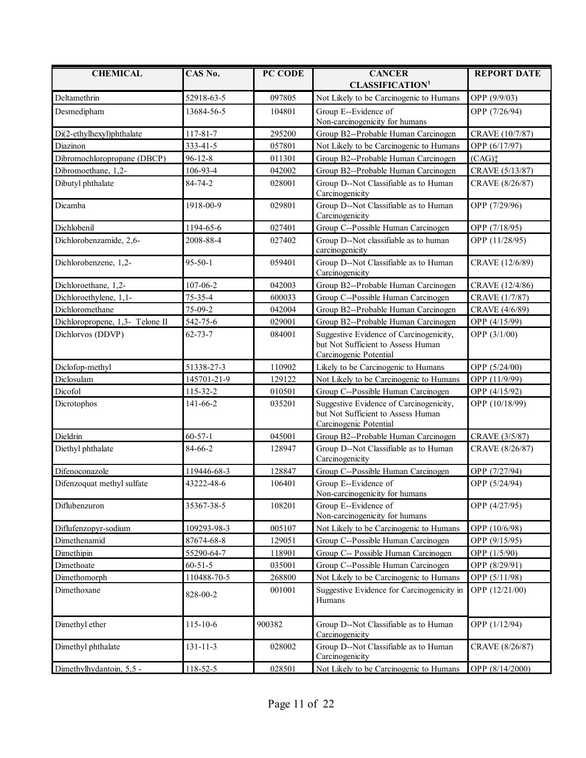| <b>CHEMICAL</b>                 | CAS No.        | PC CODE | <b>CANCER</b>                                                                                           | <b>REPORT DATE</b>      |
|---------------------------------|----------------|---------|---------------------------------------------------------------------------------------------------------|-------------------------|
|                                 |                |         | <b>CLASSIFICATION<sup>1</sup></b>                                                                       |                         |
| Deltamethrin                    | 52918-63-5     | 097805  | Not Likely to be Carcinogenic to Humans                                                                 | OPP (9/9/03)            |
| Desmedipham                     | 13684-56-5     | 104801  | Group E--Evidence of<br>Non-carcinogenicity for humans                                                  | OPP (7/26/94)           |
| Di(2-ethylhexyl)phthalate       | 117-81-7       | 295200  | Group B2--Probable Human Carcinogen                                                                     | CRAVE (10/7/87)         |
| Diazinon                        | 333-41-5       | 057801  | Not Likely to be Carcinogenic to Humans                                                                 | OPP (6/17/97)           |
| Dibromochloropropane (DBCP)     | $96 - 12 - 8$  | 011301  | Group B2--Probable Human Carcinogen                                                                     | $(CAG)$ :               |
| Dibromoethane, 1,2-             | 106-93-4       | 042002  | Group B2--Probable Human Carcinogen                                                                     | CRAVE (5/13/87)         |
|                                 | 84-74-2        |         |                                                                                                         |                         |
| Dibutyl phthalate               |                | 028001  | Group D--Not Classifiable as to Human<br>Carcinogenicity                                                | CRAVE (8/26/87)         |
| Dicamba                         | 1918-00-9      | 029801  | Group D--Not Classifiable as to Human<br>Carcinogenicity                                                | OPP (7/29/96)           |
| Dichlobenil                     | 1194-65-6      | 027401  | Group C--Possible Human Carcinogen                                                                      | OPP (7/18/95)           |
| Dichlorobenzamide, 2,6-         | 2008-88-4      | 027402  | Group D--Not classifiable as to human<br>carcinogenicity                                                | OPP (11/28/95)          |
| Dichlorobenzene, 1,2-           | $95 - 50 - 1$  | 059401  | Group D--Not Classifiable as to Human<br>Carcinogenicity                                                | CRAVE (12/6/89)         |
| Dichloroethane, 1,2-            | 107-06-2       | 042003  | Group B2--Probable Human Carcinogen                                                                     | CRAVE (12/4/86)         |
| Dichloroethylene, 1,1-          | $75 - 35 - 4$  | 600033  | Group C--Possible Human Carcinogen                                                                      | CRAVE (1/7/87)          |
| Dichloromethane                 | 75-09-2        | 042004  | Group B2--Probable Human Carcinogen                                                                     | CRAVE (4/6/89)          |
| Dichloropropene, 1,3- Telone II | 542-75-6       | 029001  | Group B2--Probable Human Carcinogen                                                                     | OPP (4/15/99)           |
| Dichlorvos (DDVP)               | $62 - 73 - 7$  | 084001  | Suggestive Evidence of Carcinogenicity,<br>but Not Sufficient to Assess Human<br>Carcinogenic Potential | OPP (3/1/00)            |
| Diclofop-methyl                 | 51338-27-3     | 110902  | Likely to be Carcinogenic to Humans                                                                     | OPP (5/24/00)           |
| Diclosulam                      | 145701-21-9    | 129122  | Not Likely to be Carcinogenic to Humans                                                                 | OPP (11/9/99)           |
| Dicofol                         | 115-32-2       | 010501  | Group C--Possible Human Carcinogen                                                                      | OPP (4/15/92)           |
| Dicrotophos                     | 141-66-2       | 035201  | Suggestive Evidence of Carcinogenicity,<br>but Not Sufficient to Assess Human<br>Carcinogenic Potential | OPP (10/18/99)          |
| Dieldrin                        | $60 - 57 - 1$  | 045001  | Group B2--Probable Human Carcinogen                                                                     | CRAVE (3/5/87)          |
| Diethyl phthalate               | 84-66-2        | 128947  | Group D--Not Classifiable as to Human<br>Carcinogenicity                                                | CRAVE (8/26/87)         |
| Difenoconazole                  | 119446-68-3    | 128847  | Group C--Possible Human Carcinogen                                                                      | OPP (7/27/94)           |
| Difenzoquat methyl sulfate      | 43222-48-6     | 106401  | Group E--Evidence of<br>Non-carcinogenicity for humans                                                  | OPP (5/24/94)           |
| Diflubenzuron                   | 35367-38-5     | 108201  | Group E--Evidence of<br>Non-carcinogenicity for humans                                                  | OPP (4/27/95)           |
| Diflufenzopyr-sodium            | 109293-98-3    | 005107  | Not Likely to be Carcinogenic to Humans                                                                 | OPP (10/6/98)           |
| Dimethenamid                    | 87674-68-8     | 129051  | Group C--Possible Human Carcinogen                                                                      | OPP (9/15/95)           |
| Dimethipin                      | 55290-64-7     | 118901  | Group C-- Possible Human Carcinogen                                                                     | OPP <sub>(1/5/90)</sub> |
| Dimethoate                      | $60 - 51 - 5$  | 035001  | Group C--Possible Human Carcinogen                                                                      | OPP (8/29/91)           |
| Dimethomorph                    | 110488-70-5    | 268800  | Not Likely to be Carcinogenic to Humans                                                                 | OPP (5/11/98)           |
| Dimethoxane                     | 828-00-2       | 001001  | Suggestive Evidence for Carcinogenicity in<br>Humans                                                    | OPP (12/21/00)          |
| Dimethyl ether                  | $115 - 10 - 6$ | 900382  | Group D--Not Classifiable as to Human<br>Carcinogenicity                                                | OPP (1/12/94)           |
| Dimethyl phthalate              | $131 - 11 - 3$ | 028002  | Group D--Not Classifiable as to Human<br>Carcinogenicity                                                | CRAVE (8/26/87)         |
| Dimethylhydantoin, 5,5 -        | 118-52-5       | 028501  | Not Likely to be Carcinogenic to Humans                                                                 | OPP (8/14/2000)         |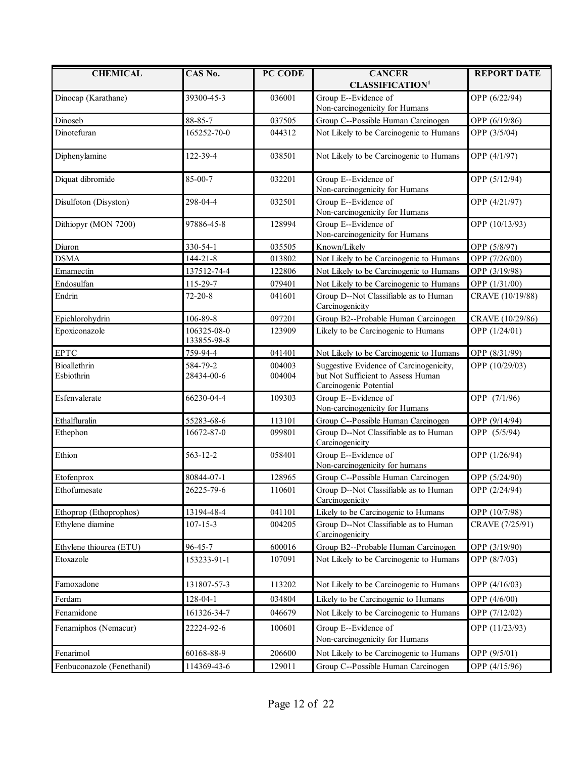| <b>CHEMICAL</b>            | CAS No.                    | PC CODE          | <b>CANCER</b>                                                                                           | <b>REPORT DATE</b> |
|----------------------------|----------------------------|------------------|---------------------------------------------------------------------------------------------------------|--------------------|
|                            |                            |                  | <b>CLASSIFICATION<sup>1</sup></b>                                                                       |                    |
| Dinocap (Karathane)        | 39300-45-3                 | 036001           | Group E--Evidence of<br>Non-carcinogenicity for Humans                                                  | OPP (6/22/94)      |
| Dinoseb                    | 88-85-7                    | 037505           | Group C--Possible Human Carcinogen                                                                      | OPP (6/19/86)      |
| Dinotefuran                | 165252-70-0                | 044312           | Not Likely to be Carcinogenic to Humans                                                                 | OPP (3/5/04)       |
| Diphenylamine              | 122-39-4                   | 038501           | Not Likely to be Carcinogenic to Humans                                                                 | OPP (4/1/97)       |
| Diquat dibromide           | 85-00-7                    | 032201           | Group E--Evidence of<br>Non-carcinogenicity for Humans                                                  | OPP (5/12/94)      |
| Disulfoton (Disyston)      | 298-04-4                   | 032501           | Group E--Evidence of<br>Non-carcinogenicity for Humans                                                  | OPP (4/21/97)      |
| Dithiopyr (MON 7200)       | 97886-45-8                 | 128994           | Group E--Evidence of<br>Non-carcinogenicity for Humans                                                  | OPP (10/13/93)     |
| Diuron                     | 330-54-1                   | 035505           | Known/Likely                                                                                            | OPP (5/8/97)       |
| <b>DSMA</b>                | $144 - 21 - 8$             | 013802           | Not Likely to be Carcinogenic to Humans                                                                 | OPP (7/26/00)      |
| Emamectin                  | 137512-74-4                | 122806           | Not Likely to be Carcinogenic to Humans                                                                 | OPP (3/19/98)      |
| Endosulfan                 | 115-29-7                   | 079401           | Not Likely to be Carcinogenic to Humans                                                                 | OPP (1/31/00)      |
| Endrin                     | $72 - 20 - 8$              | 041601           | Group D--Not Classifiable as to Human<br>Carcinogenicity                                                | CRAVE (10/19/88)   |
| Epichlorohydrin            | 106-89-8                   | 097201           | Group B2--Probable Human Carcinogen                                                                     | CRAVE (10/29/86)   |
| Epoxiconazole              | 106325-08-0<br>133855-98-8 | 123909           | Likely to be Carcinogenic to Humans                                                                     | OPP (1/24/01)      |
| <b>EPTC</b>                | 759-94-4                   | 041401           | Not Likely to be Carcinogenic to Humans                                                                 | OPP (8/31/99)      |
| Bioallethrin<br>Esbiothrin | 584-79-2<br>28434-00-6     | 004003<br>004004 | Suggestive Evidence of Carcinogenicity,<br>but Not Sufficient to Assess Human<br>Carcinogenic Potential | OPP (10/29/03)     |
| Esfenvalerate              | 66230-04-4                 | 109303           | Group E--Evidence of<br>Non-carcinogenicity for Humans                                                  | OPP (7/1/96)       |
| Ethalfluralin              | 55283-68-6                 | 113101           | Group C--Possible Human Carcinogen                                                                      | OPP (9/14/94)      |
| Ethephon                   | 16672-87-0                 | 099801           | Group D--Not Classifiable as to Human<br>Carcinogenicity                                                | OPP (5/5/94)       |
| Ethion                     | 563-12-2                   | 058401           | Group E--Evidence of<br>Non-carcinogenicity for humans                                                  | OPP (1/26/94)      |
| Etofenprox                 | 80844-07-1                 | 128965           | Group C--Possible Human Carcinogen                                                                      | OPP (5/24/90)      |
| Ethofumesate               | 26225-79-6                 | 110601           | Group D--Not Classifiable as to Human<br>Carcinogenicity                                                | OPP (2/24/94)      |
| Ethoprop (Ethoprophos)     | 13194-48-4                 | 041101           | Likely to be Carcinogenic to Humans                                                                     | OPP (10/7/98)      |
| Ethylene diamine           | $107 - 15 - 3$             | 004205           | Group D--Not Classifiable as to Human<br>Carcinogenicity                                                | CRAVE (7/25/91)    |
| Ethylene thiourea (ETU)    | 96-45-7                    | 600016           | Group B2--Probable Human Carcinogen                                                                     | OPP (3/19/90)      |
| Etoxazole                  | 153233-91-1                | 107091           | Not Likely to be Carcinogenic to Humans                                                                 | OPP (8/7/03)       |
| Famoxadone                 | 131807-57-3                | 113202           | Not Likely to be Carcinogenic to Humans                                                                 | OPP (4/16/03)      |
| Ferdam                     | 128-04-1                   | 034804           | Likely to be Carcinogenic to Humans                                                                     | OPP (4/6/00)       |
| Fenamidone                 | 161326-34-7                | 046679           | Not Likely to be Carcinogenic to Humans                                                                 | OPP (7/12/02)      |
| Fenamiphos (Nemacur)       | 22224-92-6                 | 100601           | Group E--Evidence of<br>Non-carcinogenicity for Humans                                                  | OPP (11/23/93)     |
| Fenarimol                  | 60168-88-9                 | 206600           | Not Likely to be Carcinogenic to Humans                                                                 | OPP (9/5/01)       |
| Fenbuconazole (Fenethanil) | 114369-43-6                | 129011           | Group C--Possible Human Carcinogen                                                                      | OPP (4/15/96)      |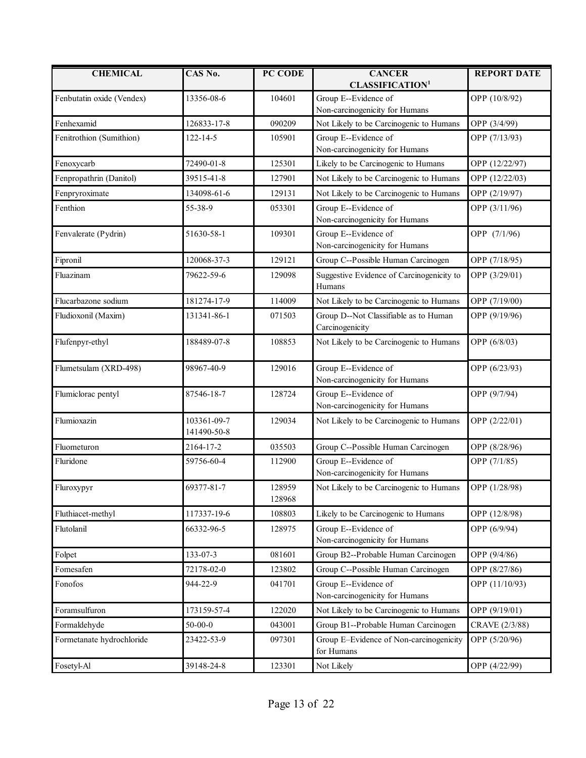| <b>CHEMICAL</b>           | CAS No.                    | PC CODE          | <b>CANCER</b><br><b>CLASSIFICATION<sup>1</sup></b>       | <b>REPORT DATE</b> |
|---------------------------|----------------------------|------------------|----------------------------------------------------------|--------------------|
| Fenbutatin oxide (Vendex) | 13356-08-6                 | 104601           | Group E--Evidence of<br>Non-carcinogenicity for Humans   | OPP (10/8/92)      |
| Fenhexamid                | 126833-17-8                | 090209           | Not Likely to be Carcinogenic to Humans                  | OPP (3/4/99)       |
| Fenitrothion (Sumithion)  | $122 - 14 - 5$             | 105901           | Group E--Evidence of<br>Non-carcinogenicity for Humans   | OPP (7/13/93)      |
| Fenoxycarb                | 72490-01-8                 | 125301           | Likely to be Carcinogenic to Humans                      | OPP (12/22/97)     |
| Fenpropathrin (Danitol)   | 39515-41-8                 | 127901           | Not Likely to be Carcinogenic to Humans                  | OPP (12/22/03)     |
| Fenpryroximate            | 134098-61-6                | 129131           | Not Likely to be Carcinogenic to Humans                  | OPP (2/19/97)      |
| Fenthion                  | 55-38-9                    | 053301           | Group E--Evidence of<br>Non-carcinogenicity for Humans   | OPP (3/11/96)      |
| Fenvalerate (Pydrin)      | 51630-58-1                 | 109301           | Group E--Evidence of<br>Non-carcinogenicity for Humans   | OPP (7/1/96)       |
| Fipronil                  | 120068-37-3                | 129121           | Group C--Possible Human Carcinogen                       | OPP (7/18/95)      |
| Fluazinam                 | 79622-59-6                 | 129098           | Suggestive Evidence of Carcinogenicity to<br>Humans      | OPP (3/29/01)      |
| Flucarbazone sodium       | 181274-17-9                | 114009           | Not Likely to be Carcinogenic to Humans                  | OPP (7/19/00)      |
| Fludioxonil (Maxim)       | 131341-86-1                | 071503           | Group D--Not Classifiable as to Human<br>Carcinogenicity | OPP (9/19/96)      |
| Flufenpyr-ethyl           | 188489-07-8                | 108853           | Not Likely to be Carcinogenic to Humans                  | OPP (6/8/03)       |
| Flumetsulam (XRD-498)     | 98967-40-9                 | 129016           | Group E--Evidence of<br>Non-carcinogenicity for Humans   | OPP (6/23/93)      |
| Flumiclorac pentyl        | 87546-18-7                 | 128724           | Group E--Evidence of<br>Non-carcinogenicity for Humans   | OPP (9/7/94)       |
| Flumioxazin               | 103361-09-7<br>141490-50-8 | 129034           | Not Likely to be Carcinogenic to Humans                  | OPP (2/22/01)      |
| Fluometuron               | 2164-17-2                  | 035503           | Group C--Possible Human Carcinogen                       | OPP (8/28/96)      |
| Fluridone                 | 59756-60-4                 | 112900           | Group E--Evidence of<br>Non-carcinogenicity for Humans   | OPP (7/1/85)       |
| Fluroxypyr                | 69377-81-7                 | 128959<br>128968 | Not Likely to be Carcinogenic to Humans                  | OPP (1/28/98)      |
| Fluthiacet-methyl         | 117337-19-6                | 108803           | Likely to be Carcinogenic to Humans                      | OPP (12/8/98)      |
| Flutolanil                | 66332-96-5                 | 128975           | Group E--Evidence of<br>Non-carcinogenicity for Humans   | OPP (6/9/94)       |
| Folpet                    | 133-07-3                   | 081601           | Group B2--Probable Human Carcinogen                      | OPP (9/4/86)       |
| Fomesafen                 | 72178-02-0                 | 123802           | Group C--Possible Human Carcinogen                       | OPP (8/27/86)      |
| Fonofos                   | 944-22-9                   | 041701           | Group E--Evidence of<br>Non-carcinogenicity for Humans   | OPP (11/10/93)     |
| Foramsulfuron             | 173159-57-4                | 122020           | Not Likely to be Carcinogenic to Humans                  | OPP (9/19/01)      |
| Formaldehyde              | $50 - 00 - 0$              | 043001           | Group B1--Probable Human Carcinogen                      | CRAVE (2/3/88)     |
| Formetanate hydrochloride | 23422-53-9                 | 097301           | Group E-Evidence of Non-carcinogenicity<br>for Humans    | OPP (5/20/96)      |
| Fosetyl-Al                | 39148-24-8                 | 123301           | Not Likely                                               | OPP (4/22/99)      |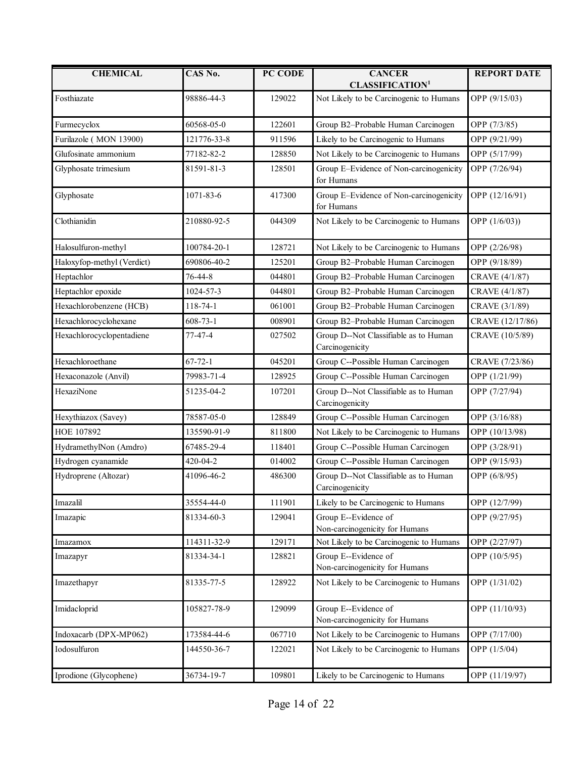| <b>CHEMICAL</b>            | CAS No.        | PC CODE | <b>CANCER</b><br><b>CLASSIFICATION1</b>                  | <b>REPORT DATE</b> |
|----------------------------|----------------|---------|----------------------------------------------------------|--------------------|
| Fosthiazate                | 98886-44-3     | 129022  | Not Likely to be Carcinogenic to Humans                  | OPP (9/15/03)      |
| Furmecyclox                | 60568-05-0     | 122601  | Group B2-Probable Human Carcinogen                       | OPP (7/3/85)       |
| Furilazole (MON 13900)     | 121776-33-8    | 911596  | Likely to be Carcinogenic to Humans                      | OPP (9/21/99)      |
| Glufosinate ammonium       | 77182-82-2     | 128850  | Not Likely to be Carcinogenic to Humans                  | OPP (5/17/99)      |
| Glyphosate trimesium       | 81591-81-3     | 128501  | Group E-Evidence of Non-carcinogenicity<br>for Humans    | OPP (7/26/94)      |
| Glyphosate                 | 1071-83-6      | 417300  | Group E-Evidence of Non-carcinogenicity<br>for Humans    | OPP (12/16/91)     |
| Clothianidin               | 210880-92-5    | 044309  | Not Likely to be Carcinogenic to Humans                  | OPP (1/6/03))      |
| Halosulfuron-methyl        | 100784-20-1    | 128721  | Not Likely to be Carcinogenic to Humans                  | OPP (2/26/98)      |
| Haloxyfop-methyl (Verdict) | 690806-40-2    | 125201  | Group B2-Probable Human Carcinogen                       | OPP (9/18/89)      |
| Heptachlor                 | 76-44-8        | 044801  | Group B2-Probable Human Carcinogen                       | CRAVE (4/1/87)     |
| Heptachlor epoxide         | 1024-57-3      | 044801  | Group B2-Probable Human Carcinogen                       | CRAVE (4/1/87)     |
| Hexachlorobenzene (HCB)    | 118-74-1       | 061001  | Group B2-Probable Human Carcinogen                       | CRAVE (3/1/89)     |
| Hexachlorocyclohexane      | $608 - 73 - 1$ | 008901  | Group B2-Probable Human Carcinogen                       | CRAVE (12/17/86)   |
| Hexachlorocyclopentadiene  | $77 - 47 - 4$  | 027502  | Group D--Not Classifiable as to Human<br>Carcinogenicity | CRAVE (10/5/89)    |
| Hexachloroethane           | $67 - 72 - 1$  | 045201  | Group C--Possible Human Carcinogen                       | CRAVE (7/23/86)    |
| Hexaconazole (Anvil)       | 79983-71-4     | 128925  | Group C--Possible Human Carcinogen                       | OPP (1/21/99)      |
| HexaziNone                 | 51235-04-2     | 107201  | Group D--Not Classifiable as to Human<br>Carcinogenicity | OPP (7/27/94)      |
| Hexythiazox (Savey)        | 78587-05-0     | 128849  | Group C--Possible Human Carcinogen                       | OPP (3/16/88)      |
| HOE 107892                 | 135590-91-9    | 811800  | Not Likely to be Carcinogenic to Humans                  | OPP (10/13/98)     |
| HydramethylNon (Amdro)     | 67485-29-4     | 118401  | Group C--Possible Human Carcinogen                       | OPP (3/28/91)      |
| Hydrogen cyanamide         | 420-04-2       | 014002  | Group C--Possible Human Carcinogen                       | OPP (9/15/93)      |
| Hydroprene (Altozar)       | 41096-46-2     | 486300  | Group D--Not Classifiable as to Human<br>Carcinogenicity | OPP (6/8/95)       |
| Imazalil                   | 35554-44-0     | 111901  | Likely to be Carcinogenic to Humans                      | OPP (12/7/99)      |
| Imazapic                   | 81334-60-3     | 129041  | Group E--Evidence of<br>Non-carcinogenicity for Humans   | OPP (9/27/95)      |
| Imazamox                   | 114311-32-9    | 129171  | Not Likely to be Carcinogenic to Humans                  | OPP (2/27/97)      |
| Imazapyr                   | 81334-34-1     | 128821  | Group E--Evidence of<br>Non-carcinogenicity for Humans   | OPP (10/5/95)      |
| Imazethapyr                | 81335-77-5     | 128922  | Not Likely to be Carcinogenic to Humans                  | OPP (1/31/02)      |
| Imidacloprid               | 105827-78-9    | 129099  | Group E--Evidence of<br>Non-carcinogenicity for Humans   | OPP (11/10/93)     |
| Indoxacarb (DPX-MP062)     | 173584-44-6    | 067710  | Not Likely to be Carcinogenic to Humans                  | OPP (7/17/00)      |
| Iodosulfuron               | 144550-36-7    | 122021  | Not Likely to be Carcinogenic to Humans                  | OPP (1/5/04)       |
| Iprodione (Glycophene)     | 36734-19-7     | 109801  | Likely to be Carcinogenic to Humans                      | OPP (11/19/97)     |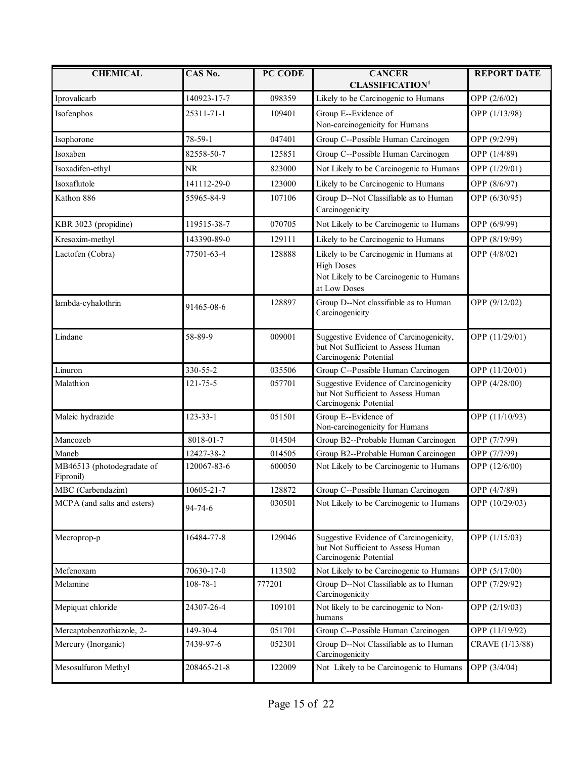| <b>CHEMICAL</b>                         | CAS No.        | PC CODE | <b>CANCER</b><br><b>CLASSIFICATION<sup>1</sup></b>                                                                     | <b>REPORT DATE</b> |
|-----------------------------------------|----------------|---------|------------------------------------------------------------------------------------------------------------------------|--------------------|
| Iprovalicarb                            | 140923-17-7    | 098359  | Likely to be Carcinogenic to Humans                                                                                    | OPP (2/6/02)       |
| Isofenphos                              | 25311-71-1     | 109401  | Group E--Evidence of<br>Non-carcinogenicity for Humans                                                                 | OPP (1/13/98)      |
| Isophorone                              | 78-59-1        | 047401  | Group C--Possible Human Carcinogen                                                                                     | OPP (9/2/99)       |
| Isoxaben                                | 82558-50-7     |         |                                                                                                                        | OPP (1/4/89)       |
|                                         |                | 125851  | Group C--Possible Human Carcinogen                                                                                     |                    |
| Isoxadifen-ethyl                        | <b>NR</b>      | 823000  | Not Likely to be Carcinogenic to Humans                                                                                | OPP (1/29/01)      |
| Isoxaflutole                            | 141112-29-0    | 123000  | Likely to be Carcinogenic to Humans                                                                                    | OPP (8/6/97)       |
| Kathon 886                              | 55965-84-9     | 107106  | Group D--Not Classifiable as to Human<br>Carcinogenicity                                                               | OPP (6/30/95)      |
| KBR 3023 (propidine)                    | 119515-38-7    | 070705  | Not Likely to be Carcinogenic to Humans                                                                                | OPP (6/9/99)       |
| Kresoxim-methyl                         | 143390-89-0    | 129111  | Likely to be Carcinogenic to Humans                                                                                    | OPP (8/19/99)      |
| Lactofen (Cobra)                        | 77501-63-4     | 128888  | Likely to be Carcinogenic in Humans at<br><b>High Doses</b><br>Not Likely to be Carcinogenic to Humans<br>at Low Doses | OPP (4/8/02)       |
| lambda-cyhalothrin                      | 91465-08-6     | 128897  | Group D--Not classifiable as to Human<br>Carcinogenicity                                                               | OPP (9/12/02)      |
| Lindane                                 | 58-89-9        | 009001  | Suggestive Evidence of Carcinogenicity,<br>but Not Sufficient to Assess Human<br>Carcinogenic Potential                | OPP (11/29/01)     |
| Linuron                                 | 330-55-2       | 035506  | Group C--Possible Human Carcinogen                                                                                     | OPP (11/20/01)     |
| Malathion                               | 121-75-5       | 057701  | Suggestive Evidence of Carcinogenicity<br>but Not Sufficient to Assess Human<br>Carcinogenic Potential                 | OPP (4/28/00)      |
| Maleic hydrazide                        | $123 - 33 - 1$ | 051501  | Group E--Evidence of<br>Non-carcinogenicity for Humans                                                                 | OPP (11/10/93)     |
| Mancozeb                                | 8018-01-7      | 014504  | Group B2--Probable Human Carcinogen                                                                                    | OPP (7/7/99)       |
| Maneb                                   | 12427-38-2     | 014505  | Group B2--Probable Human Carcinogen                                                                                    | OPP (7/7/99)       |
| MB46513 (photodegradate of<br>Fipronil) | 120067-83-6    | 600050  | Not Likely to be Carcinogenic to Humans                                                                                | OPP (12/6/00)      |
| MBC (Carbendazim)                       | 10605-21-7     | 128872  | Group C--Possible Human Carcinogen                                                                                     | OPP (4/7/89)       |
| MCPA (and salts and esters)             | 94-74-6        | 030501  | Not Likely to be Carcinogenic to Humans                                                                                | OPP (10/29/03)     |
| Mecroprop-p                             | 16484-77-8     | 129046  | Suggestive Evidence of Carcinogenicity,<br>but Not Sufficient to Assess Human<br>Carcinogenic Potential                | OPP (1/15/03)      |
| Mefenoxam                               | 70630-17-0     | 113502  | Not Likely to be Carcinogenic to Humans                                                                                | OPP (5/17/00)      |
| Melamine                                | $108 - 78 - 1$ | 777201  | Group D--Not Classifiable as to Human<br>Carcinogenicity                                                               | OPP (7/29/92)      |
| Mepiquat chloride                       | 24307-26-4     | 109101  | Not likely to be carcinogenic to Non-<br>humans                                                                        | OPP (2/19/03)      |
| Mercaptobenzothiazole, 2-               | 149-30-4       | 051701  | Group C--Possible Human Carcinogen                                                                                     | OPP (11/19/92)     |
| Mercury (Inorganic)                     | 7439-97-6      | 052301  | Group D--Not Classifiable as to Human<br>Carcinogenicity                                                               | CRAVE (1/13/88)    |
| Mesosulfuron Methyl                     | 208465-21-8    | 122009  | Not Likely to be Carcinogenic to Humans                                                                                | OPP (3/4/04)       |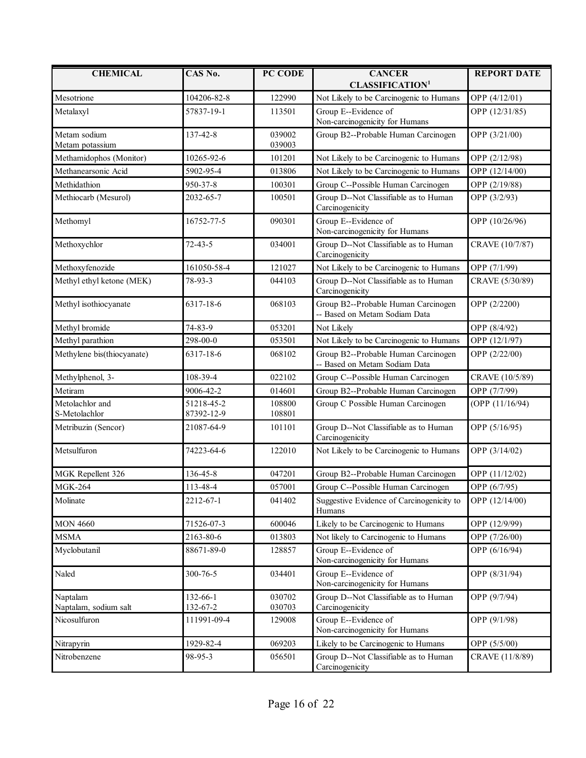| <b>CHEMICAL</b>                   | CAS No.                  | PC CODE          | <b>CANCER</b><br><b>CLASSIFICATION<sup>1</sup></b>                   | <b>REPORT DATE</b> |
|-----------------------------------|--------------------------|------------------|----------------------------------------------------------------------|--------------------|
| Mesotrione                        | 104206-82-8              | 122990           | Not Likely to be Carcinogenic to Humans                              | OPP (4/12/01)      |
| Metalaxyl                         | 57837-19-1               | 113501           | Group E--Evidence of<br>Non-carcinogenicity for Humans               | OPP (12/31/85)     |
| Metam sodium<br>Metam potassium   | 137-42-8                 | 039002<br>039003 | Group B2--Probable Human Carcinogen                                  | OPP (3/21/00)      |
| Methamidophos (Monitor)           | 10265-92-6               | 101201           | Not Likely to be Carcinogenic to Humans                              | OPP (2/12/98)      |
| Methanearsonic Acid               | 5902-95-4                | 013806           | Not Likely to be Carcinogenic to Humans                              | OPP (12/14/00)     |
| Methidathion                      | 950-37-8                 | 100301           | Group C--Possible Human Carcinogen                                   | OPP (2/19/88)      |
| Methiocarb (Mesurol)              | 2032-65-7                | 100501           | Group D--Not Classifiable as to Human<br>Carcinogenicity             | OPP (3/2/93)       |
| Methomyl                          | 16752-77-5               | 090301           | Group E--Evidence of<br>Non-carcinogenicity for Humans               | OPP (10/26/96)     |
| Methoxychlor                      | $72 - 43 - 5$            | 034001           | Group D--Not Classifiable as to Human<br>Carcinogenicity             | CRAVE (10/7/87)    |
| Methoxyfenozide                   | 161050-58-4              | 121027           | Not Likely to be Carcinogenic to Humans                              | OPP (7/1/99)       |
| Methyl ethyl ketone (MEK)         | 78-93-3                  | 044103           | Group D--Not Classifiable as to Human<br>Carcinogenicity             | CRAVE (5/30/89)    |
| Methyl isothiocyanate             | 6317-18-6                | 068103           | Group B2--Probable Human Carcinogen<br>-- Based on Metam Sodiam Data | OPP (2/2200)       |
| Methyl bromide                    | 74-83-9                  | 053201           | Not Likely                                                           | OPP (8/4/92)       |
| Methyl parathion                  | 298-00-0                 | 053501           | Not Likely to be Carcinogenic to Humans                              | OPP (12/1/97)      |
| Methylene bis(thiocyanate)        | 6317-18-6                | 068102           | Group B2--Probable Human Carcinogen<br>-- Based on Metam Sodiam Data | OPP (2/22/00)      |
| Methylphenol, 3-                  | 108-39-4                 | 022102           | Group C--Possible Human Carcinogen                                   | CRAVE (10/5/89)    |
| Metiram                           | 9006-42-2                | 014601           | Group B2--Probable Human Carcinogen                                  | OPP (7/7/99)       |
| Metolachlor and<br>S-Metolachlor  | 51218-45-2<br>87392-12-9 | 108800<br>108801 | Group C Possible Human Carcinogen                                    | (OPP (11/16/94)    |
| Metribuzin (Sencor)               | 21087-64-9               | 101101           | Group D--Not Classifiable as to Human<br>Carcinogenicity             | OPP (5/16/95)      |
| Metsulfuron                       | 74223-64-6               | 122010           | Not Likely to be Carcinogenic to Humans                              | OPP (3/14/02)      |
| MGK Repellent 326                 | 136-45-8                 | 047201           | Group B2--Probable Human Carcinogen                                  | OPP (11/12/02)     |
| <b>MGK-264</b>                    | 113-48-4                 | 057001           | Group C--Possible Human Carcinogen                                   | OPP (6/7/95)       |
| Molinate                          | 2212-67-1                | 041402           | Suggestive Evidence of Carcinogenicity to<br>Humans                  | OPP (12/14/00)     |
| <b>MON 4660</b>                   | 71526-07-3               | 600046           | Likely to be Carcinogenic to Humans                                  | OPP (12/9/99)      |
| <b>MSMA</b>                       | 2163-80-6                | 013803           | Not likely to Carcinogenic to Humans                                 | OPP (7/26/00)      |
| Myclobutanil                      | 88671-89-0               | 128857           | Group E--Evidence of<br>Non-carcinogenicity for Humans               | OPP (6/16/94)      |
| Naled                             | 300-76-5                 | 034401           | Group E--Evidence of<br>Non-carcinogenicity for Humans               | OPP (8/31/94)      |
| Naptalam<br>Naptalam, sodium salt | 132-66-1<br>132-67-2     | 030702<br>030703 | Group D--Not Classifiable as to Human<br>Carcinogenicity             | OPP (9/7/94)       |
| Nicosulfuron                      | 111991-09-4              | 129008           | Group E--Evidence of<br>Non-carcinogenicity for Humans               | OPP (9/1/98)       |
| Nitrapyrin                        | 1929-82-4                | 069203           | Likely to be Carcinogenic to Humans                                  | OPP (5/5/00)       |
| Nitrobenzene                      | 98-95-3                  | 056501           | Group D--Not Classifiable as to Human<br>Carcinogenicity             | CRAVE (11/8/89)    |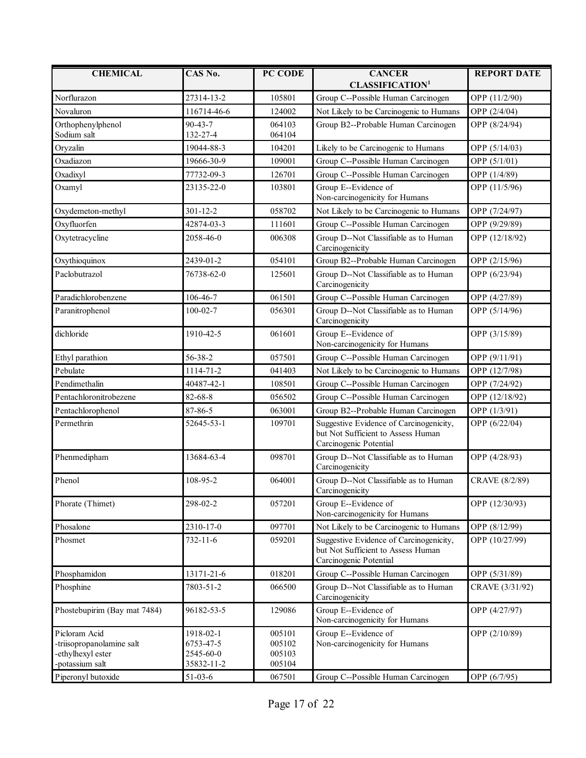| <b>CHEMICAL</b>                                                                    | CAS No.                                           | PC CODE                              | <b>CANCER</b><br><b>CLASSIFICATION<sup>1</sup></b>                                                      | <b>REPORT DATE</b> |
|------------------------------------------------------------------------------------|---------------------------------------------------|--------------------------------------|---------------------------------------------------------------------------------------------------------|--------------------|
| Norflurazon                                                                        | 27314-13-2                                        | 105801                               | Group C--Possible Human Carcinogen                                                                      | OPP (11/2/90)      |
| Novaluron                                                                          | 116714-46-6                                       | 124002                               | Not Likely to be Carcinogenic to Humans                                                                 | OPP (2/4/04)       |
| Orthophenylphenol<br>Sodium salt                                                   | $90 - 43 - 7$<br>132-27-4                         | 064103<br>064104                     | Group B2--Probable Human Carcinogen                                                                     | OPP (8/24/94)      |
| Oryzalin                                                                           | 19044-88-3                                        | 104201                               | Likely to be Carcinogenic to Humans                                                                     | OPP (5/14/03)      |
| Oxadiazon                                                                          | 19666-30-9                                        | 109001                               | Group C--Possible Human Carcinogen                                                                      | OPP (5/1/01)       |
| Oxadixyl                                                                           | 77732-09-3                                        | 126701                               | Group C--Possible Human Carcinogen                                                                      | OPP (1/4/89)       |
| Oxamyl                                                                             | 23135-22-0                                        | 103801                               | Group E--Evidence of<br>Non-carcinogenicity for Humans                                                  | OPP (11/5/96)      |
| Oxydemeton-methyl                                                                  | $301 - 12 - 2$                                    | 058702                               | Not Likely to be Carcinogenic to Humans                                                                 | OPP (7/24/97)      |
| Oxyfluorfen                                                                        | 42874-03-3                                        | 111601                               | Group C--Possible Human Carcinogen                                                                      | OPP (9/29/89)      |
| Oxytetracycline                                                                    | 2058-46-0                                         | 006308                               | Group D--Not Classifiable as to Human<br>Carcinogenicity                                                | OPP (12/18/92)     |
| Oxythioquinox                                                                      | 2439-01-2                                         | 054101                               | Group B2--Probable Human Carcinogen                                                                     | OPP (2/15/96)      |
| Paclobutrazol                                                                      | 76738-62-0                                        | 125601                               | Group D--Not Classifiable as to Human<br>Carcinogenicity                                                | OPP (6/23/94)      |
| Paradichlorobenzene                                                                | 106-46-7                                          | 061501                               | Group C--Possible Human Carcinogen                                                                      | OPP (4/27/89)      |
| Paranitrophenol                                                                    | $100 - 02 - 7$                                    | 056301                               | Group D--Not Classifiable as to Human<br>Carcinogenicity                                                | OPP (5/14/96)      |
| dichloride                                                                         | 1910-42-5                                         | 061601                               | Group E--Evidence of<br>Non-carcinogenicity for Humans                                                  | OPP (3/15/89)      |
| Ethyl parathion                                                                    | 56-38-2                                           | 057501                               | Group C--Possible Human Carcinogen                                                                      | OPP (9/11/91)      |
| Pebulate                                                                           | 1114-71-2                                         | 041403                               | Not Likely to be Carcinogenic to Humans                                                                 | OPP (12/7/98)      |
| Pendimethalin                                                                      | 40487-42-1                                        | 108501                               | Group C--Possible Human Carcinogen                                                                      | OPP (7/24/92)      |
| Pentachloronitrobezene                                                             | 82-68-8                                           | 056502                               | Group C--Possible Human Carcinogen                                                                      | OPP (12/18/92)     |
| Pentachlorophenol                                                                  | 87-86-5                                           | 063001                               | Group B2--Probable Human Carcinogen                                                                     | OPP (1/3/91)       |
| Permethrin                                                                         | 52645-53-1                                        | 109701                               | Suggestive Evidence of Carcinogenicity,<br>but Not Sufficient to Assess Human<br>Carcinogenic Potential | OPP (6/22/04)      |
| Phenmedipham                                                                       | 13684-63-4                                        | 098701                               | Group D--Not Classifiable as to Human<br>Carcinogenicity                                                | OPP (4/28/93)      |
| Phenol                                                                             | 108-95-2                                          | 064001                               | Group D--Not Classifiable as to Human<br>Carcinogenicity                                                | CRAVE (8/2/89)     |
| Phorate (Thimet)                                                                   | 298-02-2                                          | 057201                               | Group E--Evidence of<br>Non-carcinogenicity for Humans                                                  | OPP (12/30/93)     |
| Phosalone                                                                          | 2310-17-0                                         | 097701                               | Not Likely to be Carcinogenic to Humans                                                                 | OPP (8/12/99)      |
| Phosmet                                                                            | $732 - 11 - 6$                                    | 059201                               | Suggestive Evidence of Carcinogenicity,<br>but Not Sufficient to Assess Human<br>Carcinogenic Potential | OPP (10/27/99)     |
| Phosphamidon                                                                       | 13171-21-6                                        | 018201                               | Group C--Possible Human Carcinogen                                                                      | OPP (5/31/89)      |
| Phosphine                                                                          | 7803-51-2                                         | 066500                               | Group D--Not Classifiable as to Human<br>Carcinogenicity                                                | CRAVE (3/31/92)    |
| Phostebupirim (Bay mat 7484)                                                       | 96182-53-5                                        | 129086                               | Group E--Evidence of<br>Non-carcinogenicity for Humans                                                  | OPP (4/27/97)      |
| Picloram Acid<br>-triisopropanolamine salt<br>-ethylhexyl ester<br>-potassium salt | 1918-02-1<br>6753-47-5<br>2545-60-0<br>35832-11-2 | 005101<br>005102<br>005103<br>005104 | Group E--Evidence of<br>Non-carcinogenicity for Humans                                                  | OPP (2/10/89)      |
| Piperonyl butoxide                                                                 | $51 - 03 - 6$                                     | 067501                               | Group C--Possible Human Carcinogen                                                                      | OPP (6/7/95)       |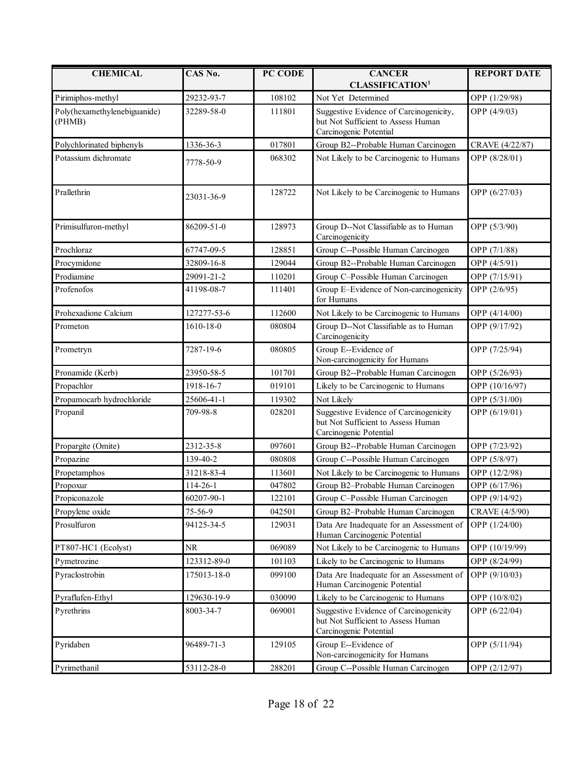| <b>CHEMICAL</b>                        | CAS No.         | PC CODE | <b>CANCER</b><br><b>CLASSIFICATION1</b>                                                                 | <b>REPORT DATE</b> |
|----------------------------------------|-----------------|---------|---------------------------------------------------------------------------------------------------------|--------------------|
| Pirimiphos-methyl                      | 29232-93-7      | 108102  | Not Yet Determined                                                                                      | OPP (1/29/98)      |
| Poly(hexamethylenebiguanide)<br>(PHMB) | 32289-58-0      | 111801  | Suggestive Evidence of Carcinogenicity,<br>but Not Sufficient to Assess Human<br>Carcinogenic Potential | OPP (4/9/03)       |
| Polychlorinated biphenyls              | 1336-36-3       | 017801  | Group B2--Probable Human Carcinogen                                                                     | CRAVE (4/22/87)    |
| Potassium dichromate                   | 7778-50-9       | 068302  | Not Likely to be Carcinogenic to Humans                                                                 | OPP (8/28/01)      |
| Prallethrin                            | 23031-36-9      | 128722  | Not Likely to be Carcinogenic to Humans                                                                 | OPP (6/27/03)      |
| Primisulfuron-methyl                   | 86209-51-0      | 128973  | Group D--Not Classifiable as to Human<br>Carcinogenicity                                                | OPP (5/3/90)       |
| Prochloraz                             | 67747-09-5      | 128851  | Group C--Possible Human Carcinogen                                                                      | OPP (7/1/88)       |
| Procymidone                            | 32809-16-8      | 129044  | Group B2--Probable Human Carcinogen                                                                     | OPP (4/5/91)       |
| Prodiamine                             | 29091-21-2      | 110201  | Group C-Possible Human Carcinogen                                                                       | OPP (7/15/91)      |
| Profenofos                             | 41198-08-7      | 111401  | Group E-Evidence of Non-carcinogenicity<br>for Humans                                                   | OPP (2/6/95)       |
| Prohexadione Calcium                   | 127277-53-6     | 112600  | Not Likely to be Carcinogenic to Humans                                                                 | OPP (4/14/00)      |
| Prometon                               | $1610 - 18 - 0$ | 080804  | Group D--Not Classifiable as to Human<br>Carcinogenicity                                                | OPP (9/17/92)      |
| Prometryn                              | 7287-19-6       | 080805  | Group E--Evidence of<br>Non-carcinogenicity for Humans                                                  | OPP (7/25/94)      |
| Pronamide (Kerb)                       | 23950-58-5      | 101701  | Group B2--Probable Human Carcinogen                                                                     | OPP (5/26/93)      |
| Propachlor                             | 1918-16-7       | 019101  | Likely to be Carcinogenic to Humans                                                                     | OPP (10/16/97)     |
| Propamocarb hydrochloride              | 25606-41-1      | 119302  | Not Likely                                                                                              | OPP (5/31/00)      |
| Propanil                               | 709-98-8        | 028201  | Suggestive Evidence of Carcinogenicity<br>but Not Sufficient to Assess Human<br>Carcinogenic Potential  | OPP (6/19/01)      |
| Propargite (Omite)                     | 2312-35-8       | 097601  | Group B2--Probable Human Carcinogen                                                                     | OPP (7/23/92)      |
| Propazine                              | 139-40-2        | 080808  | Group C--Possible Human Carcinogen                                                                      | OPP (5/8/97)       |
| Propetamphos                           | 31218-83-4      | 113601  | Not Likely to be Carcinogenic to Humans                                                                 | OPP (12/2/98)      |
| Propoxur                               | 114-26-1        | 047802  | Group B2-Probable Human Carcinogen                                                                      | OPP (6/17/96)      |
| Propiconazole                          | 60207-90-1      | 122101  | Group C-Possible Human Carcinogen                                                                       | OPP (9/14/92)      |
| Propylene oxide                        | 75-56-9         | 042501  | Group B2-Probable Human Carcinogen                                                                      | CRAVE (4/5/90)     |
| Prosulfuron                            | 94125-34-5      | 129031  | Data Are Inadequate for an Assessment of<br>Human Carcinogenic Potential                                | OPP (1/24/00)      |
| PT807-HC1 (Ecolyst)                    | <b>NR</b>       | 069089  | Not Likely to be Carcinogenic to Humans                                                                 | OPP (10/19/99)     |
| Pymetrozine                            | 123312-89-0     | 101103  | Likely to be Carcinogenic to Humans                                                                     | OPP (8/24/99)      |
| Pyraclostrobin                         | 175013-18-0     | 099100  | Data Are Inadequate for an Assessment of<br>Human Carcinogenic Potential                                | OPP (9/10/03)      |
| Pyraflufen-Ethyl                       | 129630-19-9     | 030090  | Likely to be Carcinogenic to Humans                                                                     | OPP (10/8/02)      |
| Pyrethrins                             | 8003-34-7       | 069001  | Suggestive Evidence of Carcinogenicity<br>but Not Sufficient to Assess Human<br>Carcinogenic Potential  | OPP (6/22/04)      |
| Pyridaben                              | 96489-71-3      | 129105  | Group E--Evidence of<br>Non-carcinogenicity for Humans                                                  | OPP (5/11/94)      |
| Pyrimethanil                           | 53112-28-0      | 288201  | Group C--Possible Human Carcinogen                                                                      | OPP (2/12/97)      |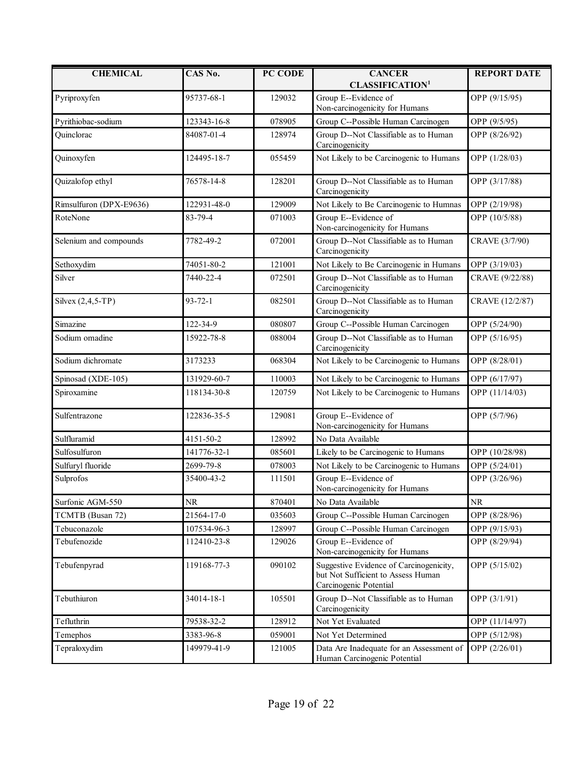| <b>CHEMICAL</b>         | CAS No.       | PC CODE | <b>CANCER</b><br><b>CLASSIFICATION<sup>1</sup></b>                                                      | <b>REPORT DATE</b> |
|-------------------------|---------------|---------|---------------------------------------------------------------------------------------------------------|--------------------|
| Pyriproxyfen            | 95737-68-1    | 129032  | Group E--Evidence of                                                                                    | OPP (9/15/95)      |
|                         |               |         | Non-carcinogenicity for Humans                                                                          |                    |
| Pyrithiobac-sodium      | 123343-16-8   | 078905  | Group C--Possible Human Carcinogen                                                                      | OPP (9/5/95)       |
| Quinclorac              | 84087-01-4    | 128974  | Group D--Not Classifiable as to Human<br>Carcinogenicity                                                | OPP (8/26/92)      |
| Quinoxyfen              | 124495-18-7   | 055459  | Not Likely to be Carcinogenic to Humans                                                                 | OPP (1/28/03)      |
| Quizalofop ethyl        | 76578-14-8    | 128201  | Group D--Not Classifiable as to Human<br>Carcinogenicity                                                | OPP (3/17/88)      |
| Rimsulfuron (DPX-E9636) | 122931-48-0   | 129009  | Not Likely to Be Carcinogenic to Humnas                                                                 | OPP (2/19/98)      |
| RoteNone                | 83-79-4       | 071003  | Group E--Evidence of<br>Non-carcinogenicity for Humans                                                  | OPP (10/5/88)      |
| Selenium and compounds  | 7782-49-2     | 072001  | Group D--Not Classifiable as to Human<br>Carcinogenicity                                                | CRAVE (3/7/90)     |
| Sethoxydim              | 74051-80-2    | 121001  | Not Likely to Be Carcinogenic in Humans                                                                 | OPP (3/19/03)      |
| Silver                  | 7440-22-4     | 072501  | Group D--Not Classifiable as to Human<br>Carcinogenicity                                                | CRAVE (9/22/88)    |
| Silvex $(2,4,5-TP)$     | $93 - 72 - 1$ | 082501  | Group D--Not Classifiable as to Human<br>Carcinogenicity                                                | CRAVE (12/2/87)    |
| Simazine                | 122-34-9      | 080807  | Group C--Possible Human Carcinogen                                                                      | OPP (5/24/90)      |
| Sodium omadine          | 15922-78-8    | 088004  | Group D--Not Classifiable as to Human<br>Carcinogenicity                                                | OPP (5/16/95)      |
| Sodium dichromate       | 3173233       | 068304  | Not Likely to be Carcinogenic to Humans                                                                 | OPP (8/28/01)      |
| Spinosad (XDE-105)      | 131929-60-7   | 110003  | Not Likely to be Carcinogenic to Humans                                                                 | OPP (6/17/97)      |
| Spiroxamine             | 118134-30-8   | 120759  | Not Likely to be Carcinogenic to Humans                                                                 | OPP (11/14/03)     |
| Sulfentrazone           | 122836-35-5   | 129081  | Group E--Evidence of<br>Non-carcinogenicity for Humans                                                  | OPP (5/7/96)       |
| Sulfluramid             | 4151-50-2     | 128992  | No Data Available                                                                                       |                    |
| Sulfosulfuron           | 141776-32-1   | 085601  | Likely to be Carcinogenic to Humans                                                                     | OPP (10/28/98)     |
| Sulfuryl fluoride       | 2699-79-8     | 078003  | Not Likely to be Carcinogenic to Humans                                                                 | OPP (5/24/01)      |
| Sulprofos               | 35400-43-2    | 111501  | Group E--Evidence of<br>Non-carcinogenicity for Humans                                                  | OPP (3/26/96)      |
| Surfonic AGM-550        | <b>NR</b>     | 870401  | No Data Available                                                                                       | <b>NR</b>          |
| TCMTB (Busan 72)        | 21564-17-0    | 035603  | Group C--Possible Human Carcinogen                                                                      | OPP (8/28/96)      |
| Tebuconazole            | 107534-96-3   | 128997  | Group C--Possible Human Carcinogen                                                                      | OPP (9/15/93)      |
| Tebufenozide            | 112410-23-8   | 129026  | Group E--Evidence of<br>Non-carcinogenicity for Humans                                                  | OPP (8/29/94)      |
| Tebufenpyrad            | 119168-77-3   | 090102  | Suggestive Evidence of Carcinogenicity,<br>but Not Sufficient to Assess Human<br>Carcinogenic Potential | OPP (5/15/02)      |
| Tebuthiuron             | 34014-18-1    | 105501  | Group D--Not Classifiable as to Human<br>Carcinogenicity                                                | OPP (3/1/91)       |
| Tefluthrin              | 79538-32-2    | 128912  | Not Yet Evaluated                                                                                       | OPP (11/14/97)     |
| Temephos                | 3383-96-8     | 059001  | Not Yet Determined                                                                                      | OPP (5/12/98)      |
| Tepraloxydim            | 149979-41-9   | 121005  | Data Are Inadequate for an Assessment of<br>Human Carcinogenic Potential                                | OPP (2/26/01)      |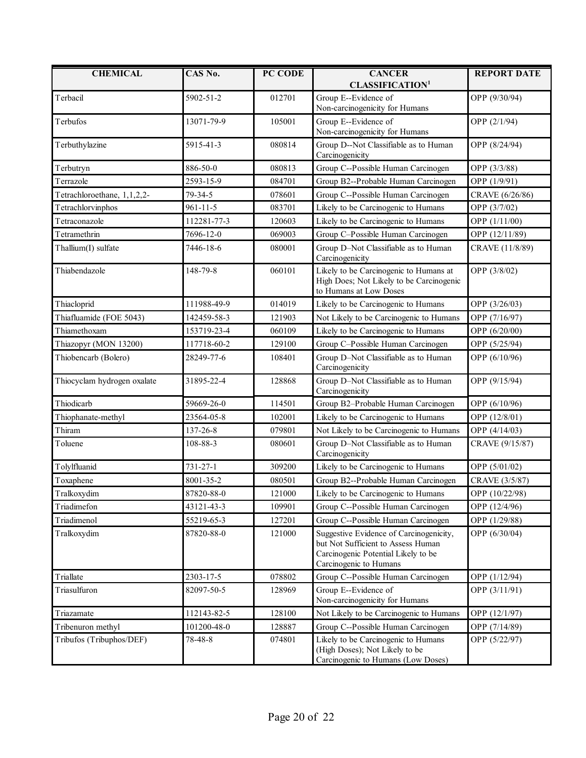| <b>CHEMICAL</b>                  | CAS No.        | PC CODE | <b>CANCER</b>                                                                                                                                  | <b>REPORT DATE</b> |
|----------------------------------|----------------|---------|------------------------------------------------------------------------------------------------------------------------------------------------|--------------------|
|                                  |                |         | <b>CLASSIFICATION<sup>1</sup></b>                                                                                                              |                    |
| Terbacil                         | 5902-51-2      | 012701  | Group E--Evidence of<br>Non-carcinogenicity for Humans                                                                                         | OPP (9/30/94)      |
| Terbufos                         | 13071-79-9     | 105001  | Group E--Evidence of<br>Non-carcinogenicity for Humans                                                                                         | OPP (2/1/94)       |
| Terbuthylazine                   | 5915-41-3      | 080814  | Group D--Not Classifiable as to Human<br>Carcinogenicity                                                                                       | OPP (8/24/94)      |
| Terbutryn                        | 886-50-0       | 080813  | Group C--Possible Human Carcinogen                                                                                                             | OPP (3/3/88)       |
| Terrazole                        | 2593-15-9      | 084701  | Group B2--Probable Human Carcinogen                                                                                                            | OPP (1/9/91)       |
| Tetrachloroethane, 1,1,2,2-      | 79-34-5        | 078601  | Group C--Possible Human Carcinogen                                                                                                             | CRAVE (6/26/86)    |
| Tetrachlorvinphos                | $961 - 11 - 5$ | 083701  | Likely to be Carcinogenic to Humans                                                                                                            | OPP (3/7/02)       |
| Tetraconazole                    | 112281-77-3    | 120603  | Likely to be Carcinogenic to Humans                                                                                                            | OPP (1/11/00)      |
| Tetramethrin                     | 7696-12-0      | 069003  | Group C-Possible Human Carcinogen                                                                                                              | OPP (12/11/89)     |
| Thallium(I) sulfate              | 7446-18-6      | 080001  | Group D-Not Classifiable as to Human<br>Carcinogenicity                                                                                        | CRAVE (11/8/89)    |
| Thiabendazole                    | 148-79-8       | 060101  | Likely to be Carcinogenic to Humans at<br>High Does; Not Likely to be Carcinogenic<br>to Humans at Low Doses                                   | OPP (3/8/02)       |
| Thiacloprid                      | 111988-49-9    | 014019  | Likely to be Carcinogenic to Humans                                                                                                            | OPP (3/26/03)      |
| Thiafluamide (FOE 5043)          | 142459-58-3    | 121903  | Not Likely to be Carcinogenic to Humans                                                                                                        | OPP (7/16/97)      |
| Thiamethoxam                     | 153719-23-4    | 060109  | Likely to be Carcinogenic to Humans                                                                                                            | OPP (6/20/00)      |
| Thiazopyr (MON 13200)            | 117718-60-2    | 129100  | Group C-Possible Human Carcinogen                                                                                                              | OPP (5/25/94)      |
| Thiobencarb (Bolero)             | 28249-77-6     | 108401  | Group D-Not Classifiable as to Human<br>Carcinogenicity                                                                                        | OPP (6/10/96)      |
| Thiocyclam hydrogen oxalate      | 31895-22-4     | 128868  | Group D-Not Classifiable as to Human<br>Carcinogenicity                                                                                        | OPP (9/15/94)      |
| Thiodicarb                       | 59669-26-0     | 114501  | Group B2-Probable Human Carcinogen                                                                                                             | OPP (6/10/96)      |
| Thiophanate-methyl               | 23564-05-8     | 102001  | Likely to be Carcinogenic to Humans                                                                                                            | OPP (12/8/01)      |
| Thiram                           | 137-26-8       | 079801  | Not Likely to be Carcinogenic to Humans                                                                                                        | OPP (4/14/03)      |
| Toluene                          | 108-88-3       | 080601  | Group D-Not Classifiable as to Human<br>Carcinogenicity                                                                                        | CRAVE (9/15/87)    |
| Tolylfluanid                     | 731-27-1       | 309200  | Likely to be Carcinogenic to Humans                                                                                                            | OPP (5/01/02)      |
| Toxaphene                        | 8001-35-2      | 080501  | Group B2--Probable Human Carcinogen                                                                                                            | CRAVE (3/5/87)     |
| $\operatorname{\sf Tralkoxydim}$ | 87820-88-0     | 121000  | Likely to be Carcinogenic to Humans                                                                                                            | OPP (10/22/98)     |
| Triadimefon                      | 43121-43-3     | 109901  | Group C--Possible Human Carcinogen                                                                                                             | OPP (12/4/96)      |
| Triadimenol                      | 55219-65-3     | 127201  | Group C--Possible Human Carcinogen                                                                                                             | OPP (1/29/88)      |
| Tralkoxydim                      | 87820-88-0     | 121000  | Suggestive Evidence of Carcinogenicity,<br>but Not Sufficient to Assess Human<br>Carcinogenic Potential Likely to be<br>Carcinogenic to Humans | OPP (6/30/04)      |
| Triallate                        | 2303-17-5      | 078802  | Group C--Possible Human Carcinogen                                                                                                             | OPP (1/12/94)      |
| Triasulfuron                     | 82097-50-5     | 128969  | Group E--Evidence of<br>Non-carcinogenicity for Humans                                                                                         | OPP (3/11/91)      |
| Triazamate                       | 112143-82-5    | 128100  | Not Likely to be Carcinogenic to Humans                                                                                                        | OPP (12/1/97)      |
| Tribenuron methyl                | 101200-48-0    | 128887  | Group C--Possible Human Carcinogen                                                                                                             | OPP (7/14/89)      |
| Tribufos (Tribuphos/DEF)         | 78-48-8        | 074801  | Likely to be Carcinogenic to Humans<br>(High Doses); Not Likely to be<br>Carcinogenic to Humans (Low Doses)                                    | OPP (5/22/97)      |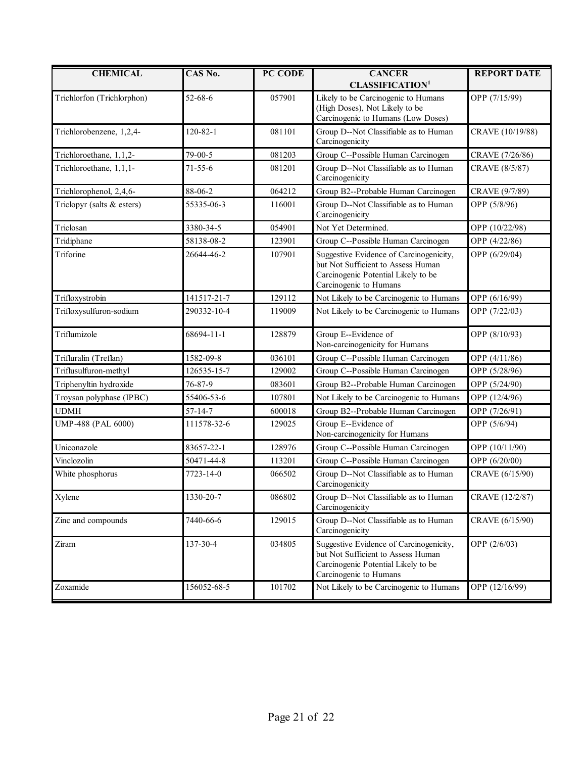| <b>CHEMICAL</b>            | CAS No.        | PC CODE | <b>CANCER</b><br><b>CLASSIFICATION<sup>1</sup></b>                                                                                             | <b>REPORT DATE</b> |
|----------------------------|----------------|---------|------------------------------------------------------------------------------------------------------------------------------------------------|--------------------|
| Trichlorfon (Trichlorphon) | 52-68-6        | 057901  | Likely to be Carcinogenic to Humans<br>(High Doses), Not Likely to be<br>Carcinogenic to Humans (Low Doses)                                    | OPP (7/15/99)      |
| Trichlorobenzene, 1,2,4-   | $120 - 82 - 1$ | 081101  | Group D--Not Classifiable as to Human<br>Carcinogenicity                                                                                       | CRAVE (10/19/88)   |
| Trichloroethane, 1,1,2-    | 79-00-5        | 081203  | Group C--Possible Human Carcinogen                                                                                                             | CRAVE (7/26/86)    |
| Trichloroethane, 1,1,1-    | $71 - 55 - 6$  | 081201  | Group D--Not Classifiable as to Human<br>Carcinogenicity                                                                                       | CRAVE (8/5/87)     |
| Trichlorophenol, 2,4,6-    | 88-06-2        | 064212  | Group B2--Probable Human Carcinogen                                                                                                            | CRAVE (9/7/89)     |
| Triclopyr (salts & esters) | 55335-06-3     | 116001  | Group D--Not Classifiable as to Human<br>Carcinogenicity                                                                                       | OPP (5/8/96)       |
| Triclosan                  | 3380-34-5      | 054901  | Not Yet Determined.                                                                                                                            | OPP (10/22/98)     |
| Tridiphane                 | 58138-08-2     | 123901  | Group C--Possible Human Carcinogen                                                                                                             | OPP (4/22/86)      |
| Triforine                  | 26644-46-2     | 107901  | Suggestive Evidence of Carcinogenicity,<br>but Not Sufficient to Assess Human<br>Carcinogenic Potential Likely to be<br>Carcinogenic to Humans | OPP (6/29/04)      |
| Trifloxystrobin            | 141517-21-7    | 129112  | Not Likely to be Carcinogenic to Humans                                                                                                        | OPP (6/16/99)      |
| Trifloxysulfuron-sodium    | 290332-10-4    | 119009  | Not Likely to be Carcinogenic to Humans                                                                                                        | OPP (7/22/03)      |
| Triflumizole               | 68694-11-1     | 128879  | Group E--Evidence of<br>Non-carcinogenicity for Humans                                                                                         | OPP (8/10/93)      |
| Trifluralin (Treflan)      | 1582-09-8      | 036101  | Group C--Possible Human Carcinogen                                                                                                             | OPP (4/11/86)      |
| Triflusulfuron-methyl      | 126535-15-7    | 129002  | Group C--Possible Human Carcinogen                                                                                                             | OPP (5/28/96)      |
| Triphenyltin hydroxide     | 76-87-9        | 083601  | Group B2--Probable Human Carcinogen                                                                                                            | OPP (5/24/90)      |
| Troysan polyphase (IPBC)   | 55406-53-6     | 107801  | Not Likely to be Carcinogenic to Humans                                                                                                        | OPP (12/4/96)      |
| <b>UDMH</b>                | $57 - 14 - 7$  | 600018  | Group B2--Probable Human Carcinogen                                                                                                            | OPP (7/26/91)      |
| UMP-488 (PAL 6000)         | 111578-32-6    | 129025  | Group E--Evidence of<br>Non-carcinogenicity for Humans                                                                                         | OPP (5/6/94)       |
| Uniconazole                | 83657-22-1     | 128976  | Group C--Possible Human Carcinogen                                                                                                             | OPP (10/11/90)     |
| Vinclozolin                | 50471-44-8     | 113201  | Group C--Possible Human Carcinogen                                                                                                             | OPP (6/20/00)      |
| White phosphorus           | 7723-14-0      | 066502  | Group D--Not Classifiable as to Human<br>Carcinogenicity                                                                                       | CRAVE (6/15/90)    |
| Xylene                     | 1330-20-7      | 086802  | Group D--Not Classifiable as to Human<br>Carcinogenicity                                                                                       | CRAVE (12/2/87)    |
| Zinc and compounds         | 7440-66-6      | 129015  | Group D--Not Classifiable as to Human<br>Carcinogenicity                                                                                       | CRAVE (6/15/90)    |
| Ziram                      | 137-30-4       | 034805  | Suggestive Evidence of Carcinogenicity,<br>but Not Sufficient to Assess Human<br>Carcinogenic Potential Likely to be<br>Carcinogenic to Humans | OPP (2/6/03)       |
| Zoxamide                   | 156052-68-5    | 101702  | Not Likely to be Carcinogenic to Humans                                                                                                        | OPP (12/16/99)     |